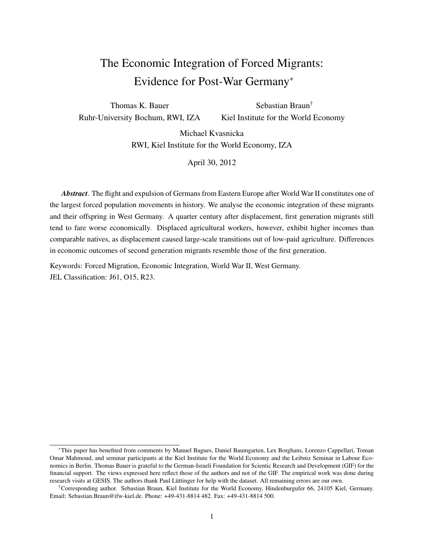# The Economic Integration of Forced Migrants: Evidence for Post-War Germany<sup>∗</sup>

Thomas K. Bauer Ruhr-University Bochum, RWI, IZA Sebastian Braun† Kiel Institute for the World Economy

> Michael Kvasnicka RWI, Kiel Institute for the World Economy, IZA

> > April 30, 2012

*Abstract*. The flight and expulsion of Germans from Eastern Europe after World War II constitutes one of the largest forced population movements in history. We analyse the economic integration of these migrants and their offspring in West Germany. A quarter century after displacement, first generation migrants still tend to fare worse economically. Displaced agricultural workers, however, exhibit higher incomes than comparable natives, as displacement caused large-scale transitions out of low-paid agriculture. Differences in economic outcomes of second generation migrants resemble those of the first generation.

Keywords: Forced Migration, Economic Integration, World War II, West Germany. JEL Classification: J61, O15, R23.

<sup>∗</sup>This paper has benefited from comments by Manuel Bagues, Daniel Baumgarten, Lex Borghans, Lorenzo Cappellari, Toman Omar Mahmoud, and seminar participants at the Kiel Institute for the World Economy and the Leibniz Seminar in Labour Economics in Berlin. Thomas Bauer is grateful to the German-Israeli Foundation for Scientic Research and Development (GIF) for the financial support. The views expressed here reflect those of the authors and not of the GIF. The empirical work was done during research visits at GESIS. The authors thank Paul Lüttinger for help with the dataset. All remaining errors are our own.

<sup>†</sup>Corresponding author. Sebastian Braun, Kiel Institute for the World Economy, Hindenburgufer 66, 24105 Kiel, Germany. Email: Sebastian.Braun@ifw-kiel.de. Phone: +49-431-8814 482. Fax: +49-431-8814 500.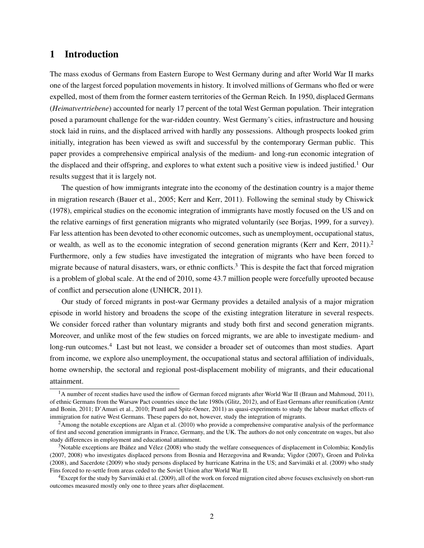## 1 Introduction

The mass exodus of Germans from Eastern Europe to West Germany during and after World War II marks one of the largest forced population movements in history. It involved millions of Germans who fled or were expelled, most of them from the former eastern territories of the German Reich. In 1950, displaced Germans (*Heimatvertriebene*) accounted for nearly 17 percent of the total West German population. Their integration posed a paramount challenge for the war-ridden country. West Germany's cities, infrastructure and housing stock laid in ruins, and the displaced arrived with hardly any possessions. Although prospects looked grim initially, integration has been viewed as swift and successful by the contemporary German public. This paper provides a comprehensive empirical analysis of the medium- and long-run economic integration of the displaced and their offspring, and explores to what extent such a positive view is indeed justified.<sup>1</sup> Our results suggest that it is largely not.

The question of how immigrants integrate into the economy of the destination country is a major theme in migration research (Bauer et al., 2005; Kerr and Kerr, 2011). Following the seminal study by Chiswick (1978), empirical studies on the economic integration of immigrants have mostly focused on the US and on the relative earnings of first generation migrants who migrated voluntarily (see Borjas, 1999, for a survey). Far less attention has been devoted to other economic outcomes, such as unemployment, occupational status, or wealth, as well as to the economic integration of second generation migrants (Kerr and Kerr,  $2011$ ).<sup>2</sup> Furthermore, only a few studies have investigated the integration of migrants who have been forced to migrate because of natural disasters, wars, or ethnic conflicts.<sup>3</sup> This is despite the fact that forced migration is a problem of global scale. At the end of 2010, some 43.7 million people were forcefully uprooted because of conflict and persecution alone (UNHCR, 2011).

Our study of forced migrants in post-war Germany provides a detailed analysis of a major migration episode in world history and broadens the scope of the existing integration literature in several respects. We consider forced rather than voluntary migrants and study both first and second generation migrants. Moreover, and unlike most of the few studies on forced migrants, we are able to investigate medium- and long-run outcomes.<sup>4</sup> Last but not least, we consider a broader set of outcomes than most studies. Apart from income, we explore also unemployment, the occupational status and sectoral affiliation of individuals, home ownership, the sectoral and regional post-displacement mobility of migrants, and their educational attainment.

 $1_A$  number of recent studies have used the inflow of German forced migrants after World War II (Braun and Mahmoud, 2011), of ethnic Germans from the Warsaw Pact countries since the late 1980s (Glitz, 2012), and of East Germans after reunification (Arntz and Bonin, 2011; D'Amuri et al., 2010; Prantl and Spitz-Oener, 2011) as quasi-experiments to study the labour market effects of immigration for native West Germans. These papers do not, however, study the integration of migrants.

<sup>&</sup>lt;sup>2</sup>Among the notable exceptions are Algan et al. (2010) who provide a comprehensive comparative analysis of the performance of first and second generation immigrants in France, Germany, and the UK. The authors do not only concentrate on wages, but also study differences in employment and educational attainment.

 $3$ Notable exceptions are Ibáñez and Vélez (2008) who study the welfare consequences of displacement in Colombia; Kondylis (2007, 2008) who investigates displaced persons from Bosnia and Herzegovina and Rwanda; Vigdor (2007), Groen and Polivka  $(2008)$ , and Sacerdote  $(2009)$  who study persons displaced by hurricane Katrina in the US; and Sarvimäki et al.  $(2009)$  who study Fins forced to re-settle from areas ceded to the Soviet Union after World War II.

 $4E$ xcept for the study by Sarvimäki et al. (2009), all of the work on forced migration cited above focuses exclusively on short-run outcomes measured mostly only one to three years after displacement.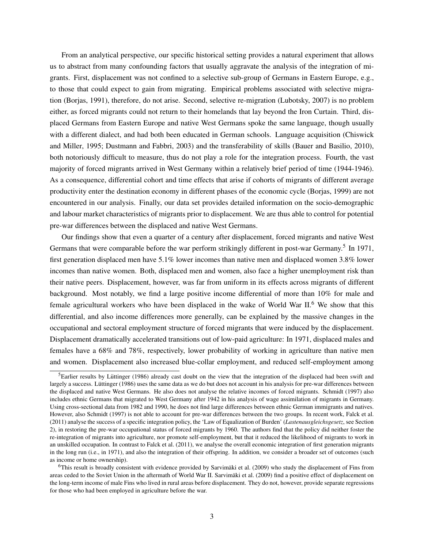From an analytical perspective, our specific historical setting provides a natural experiment that allows us to abstract from many confounding factors that usually aggravate the analysis of the integration of migrants. First, displacement was not confined to a selective sub-group of Germans in Eastern Europe, e.g., to those that could expect to gain from migrating. Empirical problems associated with selective migration (Borjas, 1991), therefore, do not arise. Second, selective re-migration (Lubotsky, 2007) is no problem either, as forced migrants could not return to their homelands that lay beyond the Iron Curtain. Third, displaced Germans from Eastern Europe and native West Germans spoke the same language, though usually with a different dialect, and had both been educated in German schools. Language acquisition (Chiswick and Miller, 1995; Dustmann and Fabbri, 2003) and the transferability of skills (Bauer and Basilio, 2010), both notoriously difficult to measure, thus do not play a role for the integration process. Fourth, the vast majority of forced migrants arrived in West Germany within a relatively brief period of time (1944-1946). As a consequence, differential cohort and time effects that arise if cohorts of migrants of different average productivity enter the destination economy in different phases of the economic cycle (Borjas, 1999) are not encountered in our analysis. Finally, our data set provides detailed information on the socio-demographic and labour market characteristics of migrants prior to displacement. We are thus able to control for potential pre-war differences between the displaced and native West Germans.

Our findings show that even a quarter of a century after displacement, forced migrants and native West Germans that were comparable before the war perform strikingly different in post-war Germany.<sup>5</sup> In 1971, first generation displaced men have 5.1% lower incomes than native men and displaced women 3.8% lower incomes than native women. Both, displaced men and women, also face a higher unemployment risk than their native peers. Displacement, however, was far from uniform in its effects across migrants of different background. Most notably, we find a large positive income differential of more than 10% for male and female agricultural workers who have been displaced in the wake of World War  $II<sup>6</sup>$  We show that this differential, and also income differences more generally, can be explained by the massive changes in the occupational and sectoral employment structure of forced migrants that were induced by the displacement. Displacement dramatically accelerated transitions out of low-paid agriculture: In 1971, displaced males and females have a 68% and 78%, respectively, lower probability of working in agriculture than native men and women. Displacement also increased blue-collar employment, and reduced self-employment among

 $<sup>5</sup>$ Earlier results by Lüttinger (1986) already cast doubt on the view that the integration of the displaced had been swift and</sup> largely a success. Luttinger (1986) uses the same data as we do but does not account in his analysis for pre-war differences between the displaced and native West Germans. He also does not analyse the relative incomes of forced migrants. Schmidt (1997) also includes ethnic Germans that migrated to West Germany after 1942 in his analysis of wage assimilation of migrants in Germany. Using cross-sectional data from 1982 and 1990, he does not find large differences between ethnic German immigrants and natives. However, also Schmidt (1997) is not able to account for pre-war differences between the two groups. In recent work, Falck et al. (2011) analyse the success of a specific integration policy, the 'Law of Equalization of Burden' (*Lastenausgleichsgesetz*, see Section 2), in restoring the pre-war occupational status of forced migrants by 1960. The authors find that the policy did neither foster the re-integration of migrants into agriculture, nor promote self-employment, but that it reduced the likelihood of migrants to work in an unskilled occupation. In contrast to Falck et al. (2011), we analyse the overall economic integration of first generation migrants in the long run (i.e., in 1971), and also the integration of their offspring. In addition, we consider a broader set of outcomes (such as income or home ownership).

 $6$ This result is broadly consistent with evidence provided by Sarvimaki et al. (2009) who study the displacement of Fins from areas ceded to the Soviet Union in the aftermath of World War II. Sarvimaki et al. (2009) find a positive effect of displacement on the long-term income of male Fins who lived in rural areas before displacement. They do not, however, provide separate regressions for those who had been employed in agriculture before the war.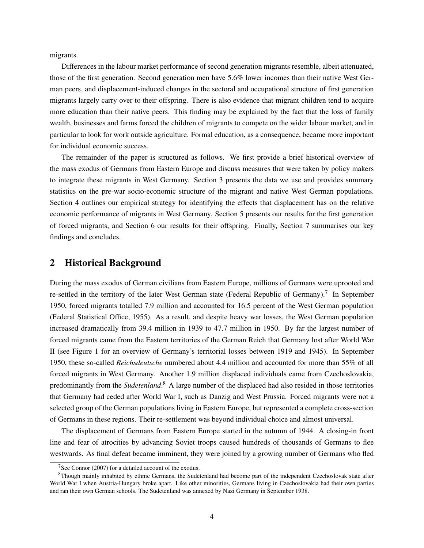migrants.

Differences in the labour market performance of second generation migrants resemble, albeit attenuated, those of the first generation. Second generation men have 5.6% lower incomes than their native West German peers, and displacement-induced changes in the sectoral and occupational structure of first generation migrants largely carry over to their offspring. There is also evidence that migrant children tend to acquire more education than their native peers. This finding may be explained by the fact that the loss of family wealth, businesses and farms forced the children of migrants to compete on the wider labour market, and in particular to look for work outside agriculture. Formal education, as a consequence, became more important for individual economic success.

The remainder of the paper is structured as follows. We first provide a brief historical overview of the mass exodus of Germans from Eastern Europe and discuss measures that were taken by policy makers to integrate these migrants in West Germany. Section 3 presents the data we use and provides summary statistics on the pre-war socio-economic structure of the migrant and native West German populations. Section 4 outlines our empirical strategy for identifying the effects that displacement has on the relative economic performance of migrants in West Germany. Section 5 presents our results for the first generation of forced migrants, and Section 6 our results for their offspring. Finally, Section 7 summarises our key findings and concludes.

#### 2 Historical Background

During the mass exodus of German civilians from Eastern Europe, millions of Germans were uprooted and re-settled in the territory of the later West German state (Federal Republic of Germany).<sup>7</sup> In September 1950, forced migrants totalled 7.9 million and accounted for 16.5 percent of the West German population (Federal Statistical Office, 1955). As a result, and despite heavy war losses, the West German population increased dramatically from 39.4 million in 1939 to 47.7 million in 1950. By far the largest number of forced migrants came from the Eastern territories of the German Reich that Germany lost after World War II (see Figure 1 for an overview of Germany's territorial losses between 1919 and 1945). In September 1950, these so-called *Reichsdeutsche* numbered about 4.4 million and accounted for more than 55% of all forced migrants in West Germany. Another 1.9 million displaced individuals came from Czechoslovakia, predominantly from the *Sudetenland*. <sup>8</sup> A large number of the displaced had also resided in those territories that Germany had ceded after World War I, such as Danzig and West Prussia. Forced migrants were not a selected group of the German populations living in Eastern Europe, but represented a complete cross-section of Germans in these regions. Their re-settlement was beyond individual choice and almost universal.

The displacement of Germans from Eastern Europe started in the autumn of 1944. A closing-in front line and fear of atrocities by advancing Soviet troops caused hundreds of thousands of Germans to flee westwards. As final defeat became imminent, they were joined by a growing number of Germans who fled

 $7$ See Connor (2007) for a detailed account of the exodus.

<sup>&</sup>lt;sup>8</sup>Though mainly inhabited by ethnic Germans, the Sudetenland had become part of the independent Czechoslovak state after World War I when Austria-Hungary broke apart. Like other minorities, Germans living in Czechoslovakia had their own parties and ran their own German schools. The Sudetenland was annexed by Nazi Germany in September 1938.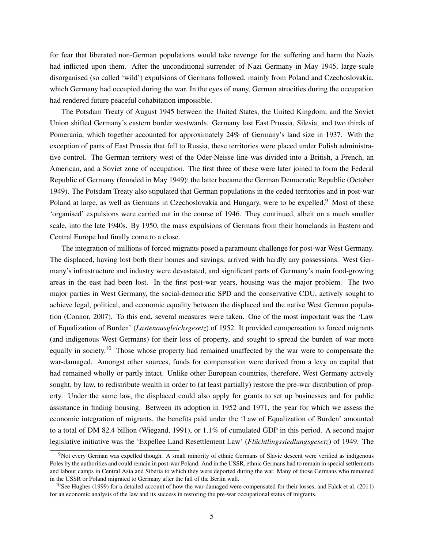for fear that liberated non-German populations would take revenge for the suffering and harm the Nazis had inflicted upon them. After the unconditional surrender of Nazi Germany in May 1945, large-scale disorganised (so called 'wild') expulsions of Germans followed, mainly from Poland and Czechoslovakia, which Germany had occupied during the war. In the eyes of many, German atrocities during the occupation had rendered future peaceful cohabitation impossible.

The Potsdam Treaty of August 1945 between the United States, the United Kingdom, and the Soviet Union shifted Germany's eastern border westwards. Germany lost East Prussia, Silesia, and two thirds of Pomerania, which together accounted for approximately 24% of Germany's land size in 1937. With the exception of parts of East Prussia that fell to Russia, these territories were placed under Polish administrative control. The German territory west of the Oder-Neisse line was divided into a British, a French, an American, and a Soviet zone of occupation. The first three of these were later joined to form the Federal Republic of Germany (founded in May 1949); the latter became the German Democratic Republic (October 1949). The Potsdam Treaty also stipulated that German populations in the ceded territories and in post-war Poland at large, as well as Germans in Czechoslovakia and Hungary, were to be expelled.<sup>9</sup> Most of these 'organised' expulsions were carried out in the course of 1946. They continued, albeit on a much smaller scale, into the late 1940s. By 1950, the mass expulsions of Germans from their homelands in Eastern and Central Europe had finally come to a close.

The integration of millions of forced migrants posed a paramount challenge for post-war West Germany. The displaced, having lost both their homes and savings, arrived with hardly any possessions. West Germany's infrastructure and industry were devastated, and significant parts of Germany's main food-growing areas in the east had been lost. In the first post-war years, housing was the major problem. The two major parties in West Germany, the social-democratic SPD and the conservative CDU, actively sought to achieve legal, political, and economic equality between the displaced and the native West German population (Connor, 2007). To this end, several measures were taken. One of the most important was the 'Law of Equalization of Burden' (*Lastenausgleichsgesetz*) of 1952. It provided compensation to forced migrants (and indigenous West Germans) for their loss of property, and sought to spread the burden of war more equally in society.<sup>10</sup> Those whose property had remained unaffected by the war were to compensate the war-damaged. Amongst other sources, funds for compensation were derived from a levy on capital that had remained wholly or partly intact. Unlike other European countries, therefore, West Germany actively sought, by law, to redistribute wealth in order to (at least partially) restore the pre-war distribution of property. Under the same law, the displaced could also apply for grants to set up businesses and for public assistance in finding housing. Between its adoption in 1952 and 1971, the year for which we assess the economic integration of migrants, the benefits paid under the 'Law of Equalization of Burden' amounted to a total of DM 82.4 billion (Wiegand, 1991), or 1.1% of cumulated GDP in this period. A second major legislative initiative was the 'Expellee Land Resettlement Law' (*Flüchtlingssiedlungsgesetz*) of 1949. The

<sup>9</sup>Not every German was expelled though. A small minority of ethnic Germans of Slavic descent were verified as indigenous Poles by the authorities and could remain in post-war Poland. And in the USSR, ethnic Germans had to remain in special settlements and labour camps in Central Asia and Siberia to which they were deported during the war. Many of those Germans who remained in the USSR or Poland migrated to Germany after the fall of the Berlin wall.

 $10$ See Hughes (1999) for a detailed account of how the war-damaged were compensated for their losses, and Falck et al. (2011) for an economic analysis of the law and its success in restoring the pre-war occupational status of migrants.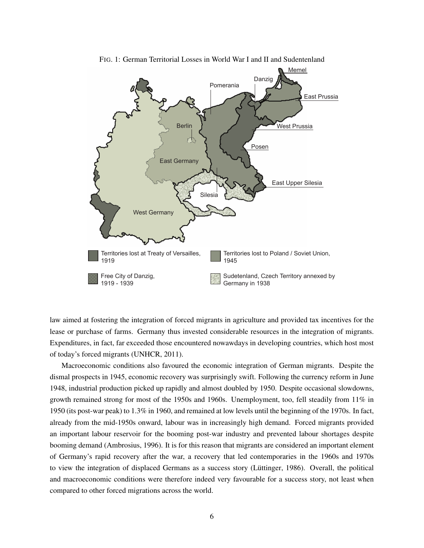

FIG. 1: German Territorial Losses in World War I and II and Sudentenland

law aimed at fostering the integration of forced migrants in agriculture and provided tax incentives for the lease or purchase of farms. Germany thus invested considerable resources in the integration of migrants. Expenditures, in fact, far exceeded those encountered nowawdays in developing countries, which host most of today's forced migrants (UNHCR, 2011).

Macroeconomic conditions also favoured the economic integration of German migrants. Despite the dismal prospects in 1945, economic recovery was surprisingly swift. Following the currency reform in June 1948, industrial production picked up rapidly and almost doubled by 1950. Despite occasional slowdowns, growth remained strong for most of the 1950s and 1960s. Unemployment, too, fell steadily from 11% in 1950 (its post-war peak) to 1.3% in 1960, and remained at low levels until the beginning of the 1970s. In fact, already from the mid-1950s onward, labour was in increasingly high demand. Forced migrants provided an important labour reservoir for the booming post-war industry and prevented labour shortages despite booming demand (Ambrosius, 1996). It is for this reason that migrants are considered an important element of Germany's rapid recovery after the war, a recovery that led contemporaries in the 1960s and 1970s to view the integration of displaced Germans as a success story (Lüttinger, 1986). Overall, the political and macroeconomic conditions were therefore indeed very favourable for a success story, not least when compared to other forced migrations across the world.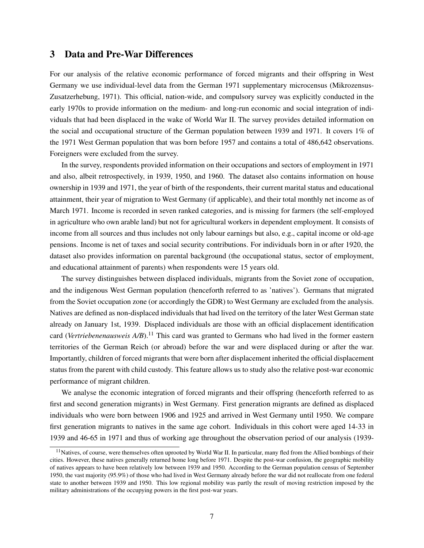## 3 Data and Pre-War Differences

For our analysis of the relative economic performance of forced migrants and their offspring in West Germany we use individual-level data from the German 1971 supplementary microcensus (Mikrozensus-Zusatzerhebung, 1971). This official, nation-wide, and compulsory survey was explicitly conducted in the early 1970s to provide information on the medium- and long-run economic and social integration of individuals that had been displaced in the wake of World War II. The survey provides detailed information on the social and occupational structure of the German population between 1939 and 1971. It covers 1% of the 1971 West German population that was born before 1957 and contains a total of 486,642 observations. Foreigners were excluded from the survey.

In the survey, respondents provided information on their occupations and sectors of employment in 1971 and also, albeit retrospectively, in 1939, 1950, and 1960. The dataset also contains information on house ownership in 1939 and 1971, the year of birth of the respondents, their current marital status and educational attainment, their year of migration to West Germany (if applicable), and their total monthly net income as of March 1971. Income is recorded in seven ranked categories, and is missing for farmers (the self-employed in agriculture who own arable land) but not for agricultural workers in dependent employment. It consists of income from all sources and thus includes not only labour earnings but also, e.g., capital income or old-age pensions. Income is net of taxes and social security contributions. For individuals born in or after 1920, the dataset also provides information on parental background (the occupational status, sector of employment, and educational attainment of parents) when respondents were 15 years old.

The survey distinguishes between displaced individuals, migrants from the Soviet zone of occupation, and the indigenous West German population (henceforth referred to as 'natives'). Germans that migrated from the Soviet occupation zone (or accordingly the GDR) to West Germany are excluded from the analysis. Natives are defined as non-displaced individuals that had lived on the territory of the later West German state already on January 1st, 1939. Displaced individuals are those with an official displacement identification card (*Vertriebenenausweis A/B*).<sup>11</sup> This card was granted to Germans who had lived in the former eastern territories of the German Reich (or abroad) before the war and were displaced during or after the war. Importantly, children of forced migrants that were born after displacement inherited the official displacement status from the parent with child custody. This feature allows us to study also the relative post-war economic performance of migrant children.

We analyse the economic integration of forced migrants and their offspring (henceforth referred to as first and second generation migrants) in West Germany. First generation migrants are defined as displaced individuals who were born between 1906 and 1925 and arrived in West Germany until 1950. We compare first generation migrants to natives in the same age cohort. Individuals in this cohort were aged 14-33 in 1939 and 46-65 in 1971 and thus of working age throughout the observation period of our analysis (1939-

<sup>&</sup>lt;sup>11</sup>Natives, of course, were themselves often uprooted by World War II. In particular, many fled from the Allied bombings of their cities. However, these natives generally returned home long before 1971. Despite the post-war confusion, the geographic mobility of natives appears to have been relatively low between 1939 and 1950. According to the German population census of September 1950, the vast majority (95.9%) of those who had lived in West Germany already before the war did not reallocate from one federal state to another between 1939 and 1950. This low regional mobility was partly the result of moving restriction imposed by the military administrations of the occupying powers in the first post-war years.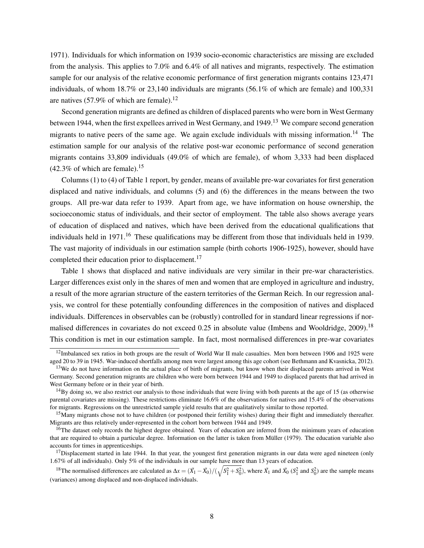1971). Individuals for which information on 1939 socio-economic characteristics are missing are excluded from the analysis. This applies to 7.0% and 6.4% of all natives and migrants, respectively. The estimation sample for our analysis of the relative economic performance of first generation migrants contains 123,471 individuals, of whom 18.7% or 23,140 individuals are migrants (56.1% of which are female) and 100,331 are natives  $(57.9\% \text{ of which are female})$ .<sup>12</sup>

Second generation migrants are defined as children of displaced parents who were born in West Germany between 1944, when the first expellees arrived in West Germany, and 1949.<sup>13</sup> We compare second generation migrants to native peers of the same age. We again exclude individuals with missing information.<sup>14</sup> The estimation sample for our analysis of the relative post-war economic performance of second generation migrants contains 33,809 individuals (49.0% of which are female), of whom 3,333 had been displaced  $(42.3\% \text{ of which are female}).^{15}$ 

Columns (1) to (4) of Table 1 report, by gender, means of available pre-war covariates for first generation displaced and native individuals, and columns (5) and (6) the differences in the means between the two groups. All pre-war data refer to 1939. Apart from age, we have information on house ownership, the socioeconomic status of individuals, and their sector of employment. The table also shows average years of education of displaced and natives, which have been derived from the educational qualifications that individuals held in 1971.<sup>16</sup> These qualifications may be different from those that individuals held in 1939. The vast majority of individuals in our estimation sample (birth cohorts 1906-1925), however, should have completed their education prior to displacement.<sup>17</sup>

Table 1 shows that displaced and native individuals are very similar in their pre-war characteristics. Larger differences exist only in the shares of men and women that are employed in agriculture and industry, a result of the more agrarian structure of the eastern territories of the German Reich. In our regression analysis, we control for these potentially confounding differences in the composition of natives and displaced individuals. Differences in observables can be (robustly) controlled for in standard linear regressions if normalised differences in covariates do not exceed 0.25 in absolute value (Imbens and Wooldridge, 2009).<sup>18</sup> This condition is met in our estimation sample. In fact, most normalised differences in pre-war covariates

<sup>&</sup>lt;sup>12</sup>Imbalanced sex ratios in both groups are the result of World War II male casualties. Men born between 1906 and 1925 were aged 20 to 39 in 1945. War-induced shortfalls among men were largest among this age cohort (see Bethmann and Kvasnicka, 2012).

<sup>&</sup>lt;sup>13</sup>We do not have information on the actual place of birth of migrants, but know when their displaced parents arrived in West Germany. Second generation migrants are children who were born between 1944 and 1949 to displaced parents that had arrived in West Germany before or in their year of birth.

 $14$ By doing so, we also restrict our analysis to those individuals that were living with both parents at the age of 15 (as otherwise parental covariates are missing). These restrictions eliminate 16.6% of the observations for natives and 15.4% of the observations for migrants. Regressions on the unrestricted sample yield results that are qualitatively similar to those reported.

<sup>&</sup>lt;sup>15</sup>Many migrants chose not to have children (or postponed their fertility wishes) during their flight and immediately thereafter. Migrants are thus relatively under-represented in the cohort born between 1944 and 1949.

<sup>&</sup>lt;sup>16</sup>The dataset only records the highest degree obtained. Years of education are inferred from the minimum years of education that are required to obtain a particular degree. Information on the latter is taken from Müller (1979). The education variable also accounts for times in apprenticeships.

 $17$ Displacement started in late 1944. In that year, the youngest first generation migrants in our data were aged nineteen (only 1.67% of all individuals). Only 5% of the individuals in our sample have more than 13 years of education.

<sup>&</sup>lt;sup>18</sup>The normalised differences are calculated as  $\Delta x = (\bar{X_1} - \bar{X_0})/(\sqrt{S_1^2 + S_0^2})$ , where  $\bar{X_1}$  and  $\bar{X_0}$  ( $S_1^2$  and  $S_0^2$ ) are the sample means (variances) among displaced and non-displaced individuals.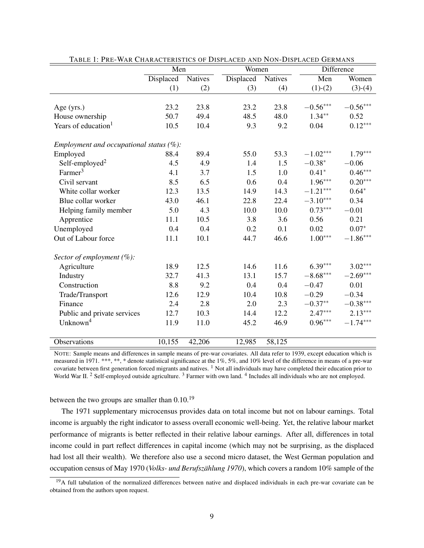|                                             | Men       |                | Women            |                | Difference |                        |
|---------------------------------------------|-----------|----------------|------------------|----------------|------------|------------------------|
|                                             | Displaced | <b>Natives</b> | <b>Displaced</b> | <b>Natives</b> | Men        | Women                  |
|                                             | (1)       | (2)            | (3)              | (4)            | $(1)-(2)$  | $(3)-(4)$              |
|                                             |           |                |                  |                |            |                        |
| Age $(yrs.)$                                | 23.2      | 23.8           | 23.2             | 23.8           | $-0.56***$ | $-0.56***$             |
| House ownership                             | 50.7      | 49.4           | 48.5             | 48.0           | $1.34***$  | 0.52                   |
| Years of education <sup>1</sup>             | 10.5      | 10.4           | 9.3              | 9.2            | 0.04       | $0.12***$              |
| Employment and occupational status $(\%)$ : |           |                |                  |                |            |                        |
| Employed                                    | 88.4      | 89.4           | 55.0             | 53.3           | $-1.02***$ | $1.79***$              |
| Self-employed <sup>2</sup>                  | 4.5       | 4.9            | 1.4              | 1.5            | $-0.38*$   | $-0.06$                |
| Farmer <sup>3</sup>                         | 4.1       | 3.7            | 1.5              | 1.0            | $0.41*$    | $0.46***$              |
| Civil servant                               | 8.5       | 6.5            | 0.6              | 0.4            | $1.96***$  | $0.20***$              |
| White collar worker                         | 12.3      | 13.5           | 14.9             | 14.3           | $-1.21***$ | $0.64*$                |
| Blue collar worker                          | 43.0      | 46.1           | 22.8             | 22.4           | $-3.10***$ | 0.34                   |
| Helping family member                       | 5.0       | 4.3            | 10.0             | 10.0           | $0.73***$  | $-0.01$                |
| Apprentice                                  | 11.1      | 10.5           | 3.8              | 3.6            | 0.56       | 0.21                   |
| Unemployed                                  | 0.4       | 0.4            | 0.2              | 0.1            | 0.02       | $0.07*$                |
| Out of Labour force                         | 11.1      | 10.1           | 44.7             | 46.6           | $1.00***$  | $-1.86***$             |
| Sector of employment $(\%)$ :               |           |                |                  |                |            |                        |
| Agriculture                                 | 18.9      | 12.5           | 14.6             | 11.6           | $6.39***$  | $3.02***$              |
| Industry                                    | 32.7      | 41.3           | 13.1             | 15.7           | $-8.68***$ | $-2.69***$             |
| Construction                                | 8.8       | 9.2            | 0.4              | 0.4            | $-0.47$    | 0.01                   |
| Trade/Transport                             | 12.6      | 12.9           | 10.4             | 10.8           | $-0.29$    | $-0.34$                |
| Finance                                     | 2.4       | 2.8            | 2.0              | 2.3            | $-0.37**$  | $-0.38^{\ast\ast\ast}$ |
| Public and private services                 | 12.7      | 10.3           | 14.4             | 12.2           | $2.47***$  | $2.13***$              |
| Unknown $4$                                 | 11.9      | 11.0           | 45.2             | 46.9           | $0.96***$  | $-1.74***$             |
| Observations                                | 10,155    | 42,206         | 12,985           | 58,125         |            |                        |

TABLE 1: PRE-WAR CHARACTERISTICS OF DISPLACED AND NON-DISPLACED GERMANS

NOTE: Sample means and differences in sample means of pre-war covariates. All data refer to 1939, except education which is measured in 1971. \*\*\*, \*\*, \* denote statistical significance at the 1%, 5%, and 10% level of the difference in means of a pre-war covariate between first generation forced migrants and natives. <sup>1</sup> Not all individuals may have completed their education prior to World War II. <sup>2</sup> Self-employed outside agriculture. <sup>3</sup> Farmer with own land. <sup>4</sup> Includes all individuals who are not employed.

between the two groups are smaller than 0.10.<sup>19</sup>

The 1971 supplementary microcensus provides data on total income but not on labour earnings. Total income is arguably the right indicator to assess overall economic well-being. Yet, the relative labour market performance of migrants is better reflected in their relative labour earnings. After all, differences in total income could in part reflect differences in capital income (which may not be surprising, as the displaced had lost all their wealth). We therefore also use a second micro dataset, the West German population and occupation census of May 1970 (*Volks- und Berufszählung 1970*), which covers a random 10% sample of the

<sup>&</sup>lt;sup>19</sup>A full tabulation of the normalized differences between native and displaced individuals in each pre-war covariate can be obtained from the authors upon request.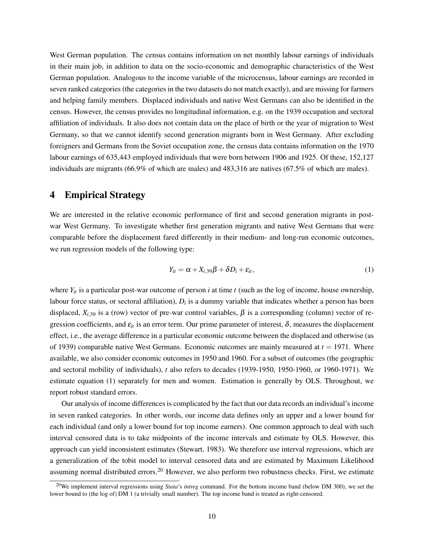West German population. The census contains information on net monthly labour earnings of individuals in their main job, in addition to data on the socio-economic and demographic characteristics of the West German population. Analogous to the income variable of the microcensus, labour earnings are recorded in seven ranked categories (the categories in the two datasets do not match exactly), and are missing for farmers and helping family members. Displaced individuals and native West Germans can also be identified in the census. However, the census provides no longitudinal information, e.g. on the 1939 occupation and sectoral affiliation of individuals. It also does not contain data on the place of birth or the year of migration to West Germany, so that we cannot identify second generation migrants born in West Germany. After excluding foreigners and Germans from the Soviet occupation zone, the census data contains information on the 1970 labour earnings of 635,443 employed individuals that were born between 1906 and 1925. Of these, 152,127 individuals are migrants (66.9% of which are males) and 483,316 are natives (67.5% of which are males).

# 4 Empirical Strategy

We are interested in the relative economic performance of first and second generation migrants in postwar West Germany. To investigate whether first generation migrants and native West Germans that were comparable before the displacement fared differently in their medium- and long-run economic outcomes, we run regression models of the following type:

$$
Y_{it} = \alpha + X_{i,39}\beta + \delta D_i + \varepsilon_{it},\tag{1}
$$

where  $Y_{it}$  is a particular post-war outcome of person *i* at time *t* (such as the log of income, house ownership, labour force status, or sectoral affiliation),  $D_i$  is a dummy variable that indicates whether a person has been displaced,  $X_{i,39}$  is a (row) vector of pre-war control variables,  $\beta$  is a corresponding (column) vector of regression coefficients, and  $\varepsilon_{it}$  is an error term. Our prime parameter of interest,  $\delta$ , measures the displacement effect, i.e., the average difference in a particular economic outcome between the displaced and otherwise (as of 1939) comparable native West Germans. Economic outcomes are mainly measured at  $t = 1971$ . Where available, we also consider economic outcomes in 1950 and 1960. For a subset of outcomes (the geographic and sectoral mobility of individuals), *t* also refers to decades (1939-1950, 1950-1960, or 1960-1971). We estimate equation (1) separately for men and women. Estimation is generally by OLS. Throughout, we report robust standard errors.

Our analysis of income differences is complicated by the fact that our data records an individual's income in seven ranked categories. In other words, our income data defines only an upper and a lower bound for each individual (and only a lower bound for top income earners). One common approach to deal with such interval censored data is to take midpoints of the income intervals and estimate by OLS. However, this approach can yield inconsistent estimates (Stewart, 1983). We therefore use interval regressions, which are a generalization of the tobit model to interval censored data and are estimated by Maximum Likelihood assuming normal distributed errors.<sup>20</sup> However, we also perform two robustness checks. First, we estimate

<sup>20</sup>We implement interval regressions using *Stata*'s *intreg* command. For the bottom income band (below DM 300), we set the lower bound to (the log of) DM 1 (a trivially small number). The top income band is treated as right-censored.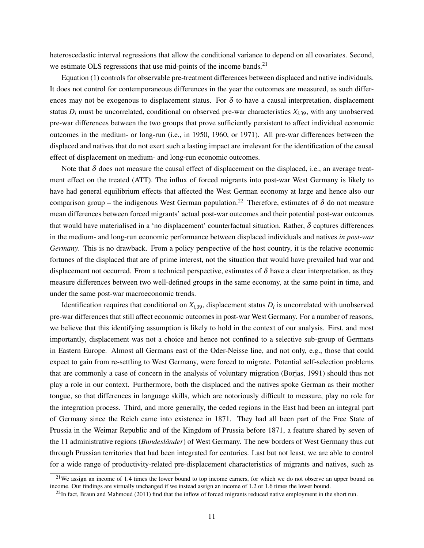heteroscedastic interval regressions that allow the conditional variance to depend on all covariates. Second, we estimate OLS regressions that use mid-points of the income bands.<sup>21</sup>

Equation (1) controls for observable pre-treatment differences between displaced and native individuals. It does not control for contemporaneous differences in the year the outcomes are measured, as such differences may not be exogenous to displacement status. For  $\delta$  to have a causal interpretation, displacement status  $D_i$  must be uncorrelated, conditional on observed pre-war characteristics  $X_i$ <sub>39</sub>, with any unobserved pre-war differences between the two groups that prove sufficiently persistent to affect individual economic outcomes in the medium- or long-run (i.e., in 1950, 1960, or 1971). All pre-war differences between the displaced and natives that do not exert such a lasting impact are irrelevant for the identification of the causal effect of displacement on medium- and long-run economic outcomes.

Note that  $\delta$  does not measure the causal effect of displacement on the displaced, i.e., an average treatment effect on the treated (ATT). The influx of forced migrants into post-war West Germany is likely to have had general equilibrium effects that affected the West German economy at large and hence also our comparison group – the indigenous West German population.<sup>22</sup> Therefore, estimates of  $\delta$  do not measure mean differences between forced migrants' actual post-war outcomes and their potential post-war outcomes that would have materialised in a 'no displacement' counterfactual situation. Rather, δ captures differences in the medium- and long-run economic performance between displaced individuals and natives *in post-war Germany*. This is no drawback. From a policy perspective of the host country, it is the relative economic fortunes of the displaced that are of prime interest, not the situation that would have prevailed had war and displacement not occurred. From a technical perspective, estimates of  $\delta$  have a clear interpretation, as they measure differences between two well-defined groups in the same economy, at the same point in time, and under the same post-war macroeconomic trends.

Identification requires that conditional on  $X_{i,39}$ , displacement status  $D_i$  is uncorrelated with unobserved pre-war differences that still affect economic outcomes in post-war West Germany. For a number of reasons, we believe that this identifying assumption is likely to hold in the context of our analysis. First, and most importantly, displacement was not a choice and hence not confined to a selective sub-group of Germans in Eastern Europe. Almost all Germans east of the Oder-Neisse line, and not only, e.g., those that could expect to gain from re-settling to West Germany, were forced to migrate. Potential self-selection problems that are commonly a case of concern in the analysis of voluntary migration (Borjas, 1991) should thus not play a role in our context. Furthermore, both the displaced and the natives spoke German as their mother tongue, so that differences in language skills, which are notoriously difficult to measure, play no role for the integration process. Third, and more generally, the ceded regions in the East had been an integral part of Germany since the Reich came into existence in 1871. They had all been part of the Free State of Prussia in the Weimar Republic and of the Kingdom of Prussia before 1871, a feature shared by seven of the 11 administrative regions (*Bundesländer*) of West Germany. The new borders of West Germany thus cut through Prussian territories that had been integrated for centuries. Last but not least, we are able to control for a wide range of productivity-related pre-displacement characteristics of migrants and natives, such as

<sup>&</sup>lt;sup>21</sup>We assign an income of 1.4 times the lower bound to top income earners, for which we do not observe an upper bound on income. Our findings are virtually unchanged if we instead assign an income of 1.2 or 1.6 times the lower bound.

 $^{22}$ In fact, Braun and Mahmoud (2011) find that the inflow of forced migrants reduced native employment in the short run.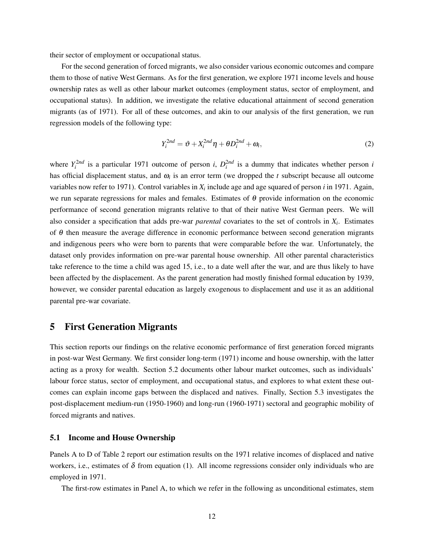their sector of employment or occupational status.

For the second generation of forced migrants, we also consider various economic outcomes and compare them to those of native West Germans. As for the first generation, we explore 1971 income levels and house ownership rates as well as other labour market outcomes (employment status, sector of employment, and occupational status). In addition, we investigate the relative educational attainment of second generation migrants (as of 1971). For all of these outcomes, and akin to our analysis of the first generation, we run regression models of the following type:

$$
Y_i^{2nd} = \vartheta + X_i^{2nd} \eta + \theta D_i^{2nd} + \omega_i,
$$
\n(2)

where  $Y_i^{2nd}$  is a particular 1971 outcome of person *i*,  $D_i^{2nd}$  is a dummy that indicates whether person *i* has official displacement status, and  $\omega_i$  is an error term (we dropped the  $t$  subscript because all outcome variables now refer to 1971). Control variables in  $X_i$  include age and age squared of person *i* in 1971. Again, we run separate regressions for males and females. Estimates of  $\theta$  provide information on the economic performance of second generation migrants relative to that of their native West German peers. We will also consider a specification that adds pre-war *parental* covariates to the set of controls in *X<sup>i</sup>* . Estimates of  $\theta$  then measure the average difference in economic performance between second generation migrants and indigenous peers who were born to parents that were comparable before the war. Unfortunately, the dataset only provides information on pre-war parental house ownership. All other parental characteristics take reference to the time a child was aged 15, i.e., to a date well after the war, and are thus likely to have been affected by the displacement. As the parent generation had mostly finished formal education by 1939, however, we consider parental education as largely exogenous to displacement and use it as an additional parental pre-war covariate.

## 5 First Generation Migrants

This section reports our findings on the relative economic performance of first generation forced migrants in post-war West Germany. We first consider long-term (1971) income and house ownership, with the latter acting as a proxy for wealth. Section 5.2 documents other labour market outcomes, such as individuals' labour force status, sector of employment, and occupational status, and explores to what extent these outcomes can explain income gaps between the displaced and natives. Finally, Section 5.3 investigates the post-displacement medium-run (1950-1960) and long-run (1960-1971) sectoral and geographic mobility of forced migrants and natives.

#### 5.1 Income and House Ownership

Panels A to D of Table 2 report our estimation results on the 1971 relative incomes of displaced and native workers, i.e., estimates of  $\delta$  from equation (1). All income regressions consider only individuals who are employed in 1971.

The first-row estimates in Panel A, to which we refer in the following as unconditional estimates, stem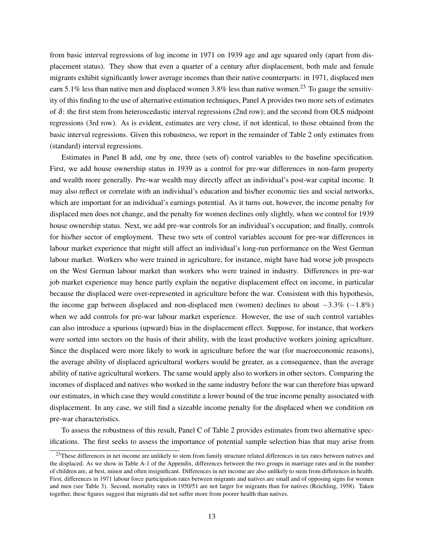from basic interval regressions of log income in 1971 on 1939 age and age squared only (apart from displacement status). They show that even a quarter of a century after displacement, both male and female migrants exhibit significantly lower average incomes than their native counterparts: in 1971, displaced men earn 5.1% less than native men and displaced women 3.8% less than native women.<sup>23</sup> To gauge the sensitivity of this finding to the use of alternative estimation techniques, Panel A provides two more sets of estimates of  $\delta$ : the first stem from heteroscedastic interval regressions (2nd row); and the second from OLS midpoint regressions (3rd row). As is evident, estimates are very close, if not identical, to those obtained from the basic interval regressions. Given this robustness, we report in the remainder of Table 2 only estimates from (standard) interval regressions.

Estimates in Panel B add, one by one, three (sets of) control variables to the baseline specification. First, we add house ownership status in 1939 as a control for pre-war differences in non-farm property and wealth more generally. Pre-war wealth may directly affect an individual's post-war capital income. It may also reflect or correlate with an individual's education and his/her economic ties and social networks, which are important for an individual's earnings potential. As it turns out, however, the income penalty for displaced men does not change, and the penalty for women declines only slightly, when we control for 1939 house ownership status. Next, we add pre-war controls for an individual's occupation; and finally, controls for his/her sector of employment. These two sets of control variables account for pre-war differences in labour market experience that might still affect an individual's long-run performance on the West German labour market. Workers who were trained in agriculture, for instance, might have had worse job prospects on the West German labour market than workers who were trained in industry. Differences in pre-war job market experience may hence partly explain the negative displacement effect on income, in particular because the displaced were over-represented in agriculture before the war. Consistent with this hypothesis, the income gap between displaced and non-displaced men (women) declines to about −3.3% (−1.8%) when we add controls for pre-war labour market experience. However, the use of such control variables can also introduce a spurious (upward) bias in the displacement effect. Suppose, for instance, that workers were sorted into sectors on the basis of their ability, with the least productive workers joining agriculture. Since the displaced were more likely to work in agriculture before the war (for macroeconomic reasons), the average ability of displaced agricultural workers would be greater, as a consequence, than the average ability of native agricultural workers. The same would apply also to workers in other sectors. Comparing the incomes of displaced and natives who worked in the same industry before the war can therefore bias upward our estimates, in which case they would constitute a lower bound of the true income penalty associated with displacement. In any case, we still find a sizeable income penalty for the displaced when we condition on pre-war characteristics.

To assess the robustness of this result, Panel C of Table 2 provides estimates from two alternative specifications. The first seeks to assess the importance of potential sample selection bias that may arise from

 $^{23}$ These differences in net income are unlikely to stem from family structure related differences in tax rates between natives and the displaced. As we show in Table A-1 of the Appendix, differences between the two groups in marriage rates and in the number of children are, at best, minor and often insignificant. Differences in net income are also unlikely to stem from differences in health. First, differences in 1971 labour force participation rates between migrants and natives are small and of opposing signs for women and men (see Table 3). Second, mortality rates in 1950/51 are not larger for migrants than for natives (Reichling, 1958). Taken together, these figures suggest that migrants did not suffer more from poorer health than natives.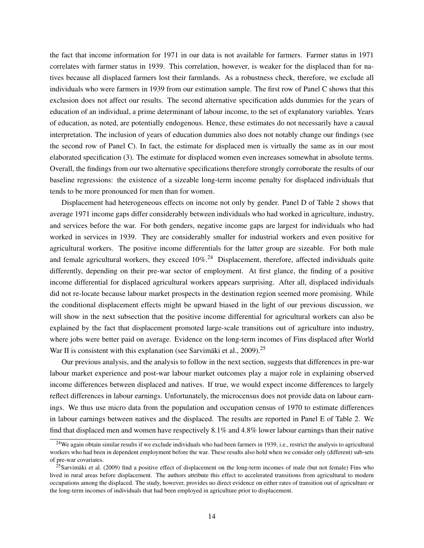the fact that income information for 1971 in our data is not available for farmers. Farmer status in 1971 correlates with farmer status in 1939. This correlation, however, is weaker for the displaced than for natives because all displaced farmers lost their farmlands. As a robustness check, therefore, we exclude all individuals who were farmers in 1939 from our estimation sample. The first row of Panel C shows that this exclusion does not affect our results. The second alternative specification adds dummies for the years of education of an individual, a prime determinant of labour income, to the set of explanatory variables. Years of education, as noted, are potentially endogenous. Hence, these estimates do not necessarily have a causal interpretation. The inclusion of years of education dummies also does not notably change our findings (see the second row of Panel C). In fact, the estimate for displaced men is virtually the same as in our most elaborated specification (3). The estimate for displaced women even increases somewhat in absolute terms. Overall, the findings from our two alternative specifications therefore strongly corroborate the results of our baseline regressions: the existence of a sizeable long-term income penalty for displaced individuals that tends to be more pronounced for men than for women.

Displacement had heterogeneous effects on income not only by gender. Panel D of Table 2 shows that average 1971 income gaps differ considerably between individuals who had worked in agriculture, industry, and services before the war. For both genders, negative income gaps are largest for individuals who had worked in services in 1939. They are considerably smaller for industrial workers and even positive for agricultural workers. The positive income differentials for the latter group are sizeable. For both male and female agricultural workers, they exceed  $10\%$ .<sup>24</sup> Displacement, therefore, affected individuals quite differently, depending on their pre-war sector of employment. At first glance, the finding of a positive income differential for displaced agricultural workers appears surprising. After all, displaced individuals did not re-locate because labour market prospects in the destination region seemed more promising. While the conditional displacement effects might be upward biased in the light of our previous discussion, we will show in the next subsection that the positive income differential for agricultural workers can also be explained by the fact that displacement promoted large-scale transitions out of agriculture into industry, where jobs were better paid on average. Evidence on the long-term incomes of Fins displaced after World War II is consistent with this explanation (see Sarvimaki et al., 2009).<sup>25</sup>

Our previous analysis, and the analysis to follow in the next section, suggests that differences in pre-war labour market experience and post-war labour market outcomes play a major role in explaining observed income differences between displaced and natives. If true, we would expect income differences to largely reflect differences in labour earnings. Unfortunately, the microcensus does not provide data on labour earnings. We thus use micro data from the population and occupation census of 1970 to estimate differences in labour earnings between natives and the displaced. The results are reported in Panel E of Table 2. We find that displaced men and women have respectively 8.1% and 4.8% lower labour earnings than their native

 $24$ We again obtain similar results if we exclude individuals who had been farmers in 1939, i.e., restrict the analysis to agricultural workers who had been in dependent employment before the war. These results also hold when we consider only (different) sub-sets of pre-war covariates.

 $25$ Sarvimäki et al. (2009) find a positive effect of displacement on the long-term incomes of male (but not female) Fins who lived in rural areas before displacement. The authors attribute this effect to accelerated transitions from agricultural to modern occupations among the displaced. The study, however, provides no direct evidence on either rates of transition out of agriculture or the long-term incomes of individuals that had been employed in agriculture prior to displacement.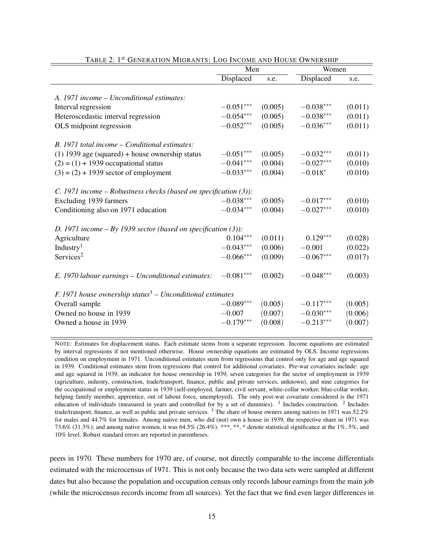|                                                                     | Men         |         | Women       |         |  |
|---------------------------------------------------------------------|-------------|---------|-------------|---------|--|
|                                                                     | Displaced   | s.e.    | Displaced   | s.e.    |  |
|                                                                     |             |         |             |         |  |
| A. 1971 income – Unconditional estimates:                           |             |         |             |         |  |
| Interval regression                                                 | $-0.051***$ | (0.005) | $-0.038***$ | (0.011) |  |
| Heteroscedastic interval regression                                 | $-0.054***$ | (0.005) | $-0.038***$ | (0.011) |  |
| OLS midpoint regression                                             | $-0.052***$ | (0.005) | $-0.036***$ | (0.011) |  |
| B. 1971 total income – Conditional estimates:                       |             |         |             |         |  |
| $(1)$ 1939 age (squared) + house ownership status                   | $-0.051***$ | (0.005) | $-0.032***$ | (0.011) |  |
| $(2) = (1) + 1939$ occupational status                              | $-0.041***$ | (0.004) | $-0.027***$ | (0.010) |  |
| $(3) = (2) + 1939$ sector of employment                             | $-0.033***$ | (0.004) | $-0.018*$   | (0.010) |  |
|                                                                     |             |         |             |         |  |
| C. 1971 income – Robustness checks (based on specification $(3)$ ): |             |         |             |         |  |
| Excluding 1939 farmers                                              | $-0.038***$ | (0.005) | $-0.017***$ | (0.010) |  |
| Conditioning also on 1971 education                                 | $-0.034***$ | (0.004) | $-0.027***$ | (0.010) |  |
|                                                                     |             |         |             |         |  |
| D. 1971 income – By 1939 sector (based on specification $(3)$ ):    |             |         |             |         |  |
| Agriculture                                                         | $0.104***$  | (0.011) | $0.129***$  | (0.028) |  |
| Industry <sup>1</sup>                                               | $-0.043***$ | (0.006) | $-0.001$    | (0.022) |  |
| Services <sup>2</sup>                                               | $-0.066***$ | (0.009) | $-0.067***$ | (0.017) |  |
|                                                                     |             |         |             |         |  |
| E. 1970 labour earnings – Unconditional estimates:                  | $-0.081***$ | (0.002) | $-0.048***$ | (0.003) |  |
| F. 1971 house ownership status $3$ – Unconditional estimates        |             |         |             |         |  |
|                                                                     |             |         |             |         |  |
| Overall sample                                                      | $-0.089***$ | (0.005) | $-0.117***$ | (0.005) |  |
| Owned no house in 1939                                              | $-0.007$    | (0.007) | $-0.030***$ | (0.006) |  |
| Owned a house in 1939                                               | $-0.179***$ | (0.008) | $-0.213***$ | (0.007) |  |

TABLE 2: 1*st* GENERATION MIGRANTS: LOG INCOME AND HOUSE OWNERSHIP

NOTE: Estimates for displacement status. Each estimate stems from a separate regression. Income equations are estimated by interval regressions if not mentioned otherwise. House ownership equations are estimated by OLS. Income regressions condition on employment in 1971. Unconditional estimates stem from regressions that control only for age and age squared in 1939. Conditional estimates stem from regressions that control for additional covariates. Pre-war covariates include: age and age squared in 1939, an indicator for house ownership in 1939, seven categories for the sector of employment in 1939 (agriculture, industry, construction, trade/transport, finance, public and private services, unknown), and nine categories for the occupational or employment status in 1939 (self-employed, farmer, civil servant, white-collar worker, blue-collar worker, helping family member, apprentice, out of labour force, unemployed). The only post-war covariate considered is the 1971 education of individuals (measured in years and controlled for by a set of dummies). <sup>1</sup> Includes construction. <sup>2</sup> Includes trade/transport, finance, as well as public and private services. <sup>3</sup> The share of house owners among natives in 1971 was 52.2% for males and 44.7% for females. Among native men, who did (not) own a house in 1939, the respective share in 1971 was 73.6% (31.3%); and among native women, it was  $64.5\%$  (26.4%). \*\*\*, \*\*, \* denote statistical significance at the 1%, 5%, and 10% level. Robust standard errors are reported in parentheses.

peers in 1970. These numbers for 1970 are, of course, not directly comparable to the income differentials estimated with the microcensus of 1971. This is not only because the two data sets were sampled at different dates but also because the population and occupation census only records labour earnings from the main job (while the microcensus records income from all sources). Yet the fact that we find even larger differences in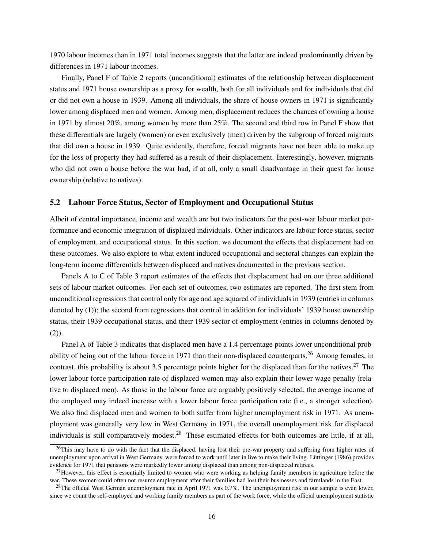1970 labour incomes than in 1971 total incomes suggests that the latter are indeed predominantly driven by differences in 1971 labour incomes.

Finally, Panel F of Table 2 reports (unconditional) estimates of the relationship between displacement status and 1971 house ownership as a proxy for wealth, both for all individuals and for individuals that did or did not own a house in 1939. Among all individuals, the share of house owners in 1971 is significantly lower among displaced men and women. Among men, displacement reduces the chances of owning a house in 1971 by almost 20%, among women by more than 25%. The second and third row in Panel F show that these differentials are largely (women) or even exclusively (men) driven by the subgroup of forced migrants that did own a house in 1939. Quite evidently, therefore, forced migrants have not been able to make up for the loss of property they had suffered as a result of their displacement. Interestingly, however, migrants who did not own a house before the war had, if at all, only a small disadvantage in their quest for house ownership (relative to natives).

#### 5.2 Labour Force Status, Sector of Employment and Occupational Status

Albeit of central importance, income and wealth are but two indicators for the post-war labour market performance and economic integration of displaced individuals. Other indicators are labour force status, sector of employment, and occupational status. In this section, we document the effects that displacement had on these outcomes. We also explore to what extent induced occupational and sectoral changes can explain the long-term income differentials between displaced and natives documented in the previous section.

Panels A to C of Table 3 report estimates of the effects that displacement had on our three additional sets of labour market outcomes. For each set of outcomes, two estimates are reported. The first stem from unconditional regressions that control only for age and age squared of individuals in 1939 (entries in columns denoted by (1)); the second from regressions that control in addition for individuals' 1939 house ownership status, their 1939 occupational status, and their 1939 sector of employment (entries in columns denoted by  $(2)$ ).

Panel A of Table 3 indicates that displaced men have a 1.4 percentage points lower unconditional probability of being out of the labour force in 1971 than their non-displaced counterparts.<sup>26</sup> Among females, in contrast, this probability is about 3.5 percentage points higher for the displaced than for the natives.<sup>27</sup> The lower labour force participation rate of displaced women may also explain their lower wage penalty (relative to displaced men). As those in the labour force are arguably positively selected, the average income of the employed may indeed increase with a lower labour force participation rate (i.e., a stronger selection). We also find displaced men and women to both suffer from higher unemployment risk in 1971. As unemployment was generally very low in West Germany in 1971, the overall unemployment risk for displaced individuals is still comparatively modest.<sup>28</sup> These estimated effects for both outcomes are little, if at all,

<sup>&</sup>lt;sup>26</sup>This may have to do with the fact that the displaced, having lost their pre-war property and suffering from higher rates of unemployment upon arrival in West Germany, were forced to work until later in live to make their living. Lüttinger (1986) provides evidence for 1971 that pensions were markedly lower among displaced than among non-displaced retirees.

 $27$ However, this effect is essentially limited to women who were working as helping family members in agriculture before the war. These women could often not resume employment after their families had lost their businesses and farmlands in the East.

<sup>&</sup>lt;sup>28</sup>The official West German unemployment rate in April 1971 was  $0.7\%$ . The unemployment risk in our sample is even lower, since we count the self-employed and working family members as part of the work force, while the official unemployment statistic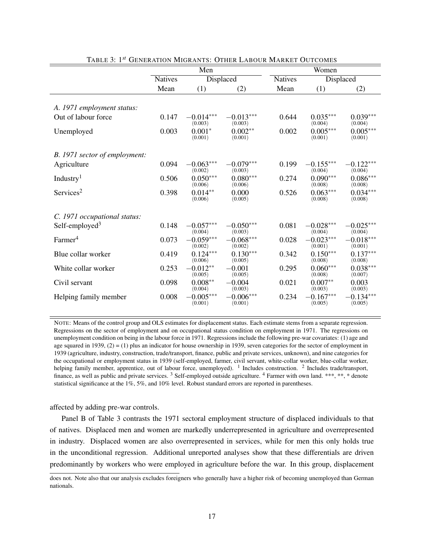|                               | Men            |                        |                        |                | Women                  |                        |
|-------------------------------|----------------|------------------------|------------------------|----------------|------------------------|------------------------|
|                               | <b>Natives</b> | Displaced              |                        | <b>Natives</b> | Displaced              |                        |
|                               | Mean           | (1)                    | (2)                    | Mean           | (1)                    | (2)                    |
|                               |                |                        |                        |                |                        |                        |
| A. 1971 employment status:    |                |                        |                        |                |                        |                        |
| Out of labour force           | 0.147          | $-0.014***$<br>(0.003) | $-0.013***$<br>(0.003) | 0.644          | $0.035***$<br>(0.004)  | $0.039***$<br>(0.004)  |
| Unemployed                    | 0.003          | $0.001*$<br>(0.001)    | $0.002**$<br>(0.001)   | 0.002          | $0.005***$<br>(0.001)  | $0.005***$<br>(0.001)  |
| B. 1971 sector of employment: |                |                        |                        |                |                        |                        |
| Agriculture                   | 0.094          | $-0.063***$<br>(0.002) | $-0.079***$<br>(0.003) | 0.199          | $-0.155***$<br>(0.004) | $-0.122***$<br>(0.004) |
| Industry <sup>1</sup>         | 0.506          | $0.050***$<br>(0.006)  | $0.080***$<br>(0.006)  | 0.274          | $0.090***$<br>(0.008)  | $0.086***$<br>(0.008)  |
| Services <sup>2</sup>         | 0.398          | $0.014**$<br>(0.006)   | 0.000<br>(0.005)       | 0.526          | $0.063***$<br>(0.008)  | $0.034***$<br>(0.008)  |
| C. 1971 occupational status:  |                |                        |                        |                |                        |                        |
| Self-employed <sup>3</sup>    | 0.148          | $-0.057***$<br>(0.004) | $-0.050***$<br>(0.003) | 0.081          | $-0.028***$<br>(0.004) | $-0.025***$<br>(0.004) |
| Farmer <sup>4</sup>           | 0.073          | $-0.059***$<br>(0.002) | $-0.068***$<br>(0.002) | 0.028          | $-0.023***$<br>(0.001) | $-0.018***$<br>(0.001) |
| Blue collar worker            | 0.419          | $0.124***$<br>(0.006)  | $0.130***$<br>(0.005)  | 0.342          | $0.150***$<br>(0.008)  | $0.137***$<br>(0.008)  |
| White collar worker           | 0.253          | $-0.012**$<br>(0.005)  | $-0.001$<br>(0.005)    | 0.295          | $0.060***$<br>(0.008)  | $0.038***$<br>(0.007)  |
| Civil servant                 | 0.098          | $0.008**$<br>(0.004)   | $-0.004$<br>(0.003)    | 0.021          | $0.007**$<br>(0.003)   | 0.003<br>(0.003)       |
| Helping family member         | 0.008          | $-0.005***$<br>(0.001) | $-0.006***$<br>(0.001) | 0.234          | $-0.167***$<br>(0.005) | $-0.134***$<br>(0.005) |

TABLE 3: 1*st* GENERATION MIGRANTS: OTHER LABOUR MARKET OUTCOMES

NOTE: Means of the control group and OLS estimates for displacement status. Each estimate stems from a separate regression. Regressions on the sector of employment and on occupational status condition on employment in 1971. The regressions on unemployment condition on being in the labour force in 1971. Regressions include the following pre-war covariates: (1) age and age squared in 1939,  $(2) = (1)$  plus an indicator for house ownership in 1939, seven categories for the sector of employment in 1939 (agriculture, industry, construction, trade/transport, finance, public and private services, unknown), and nine categories for the occupational or employment status in 1939 (self-employed, farmer, civil servant, white-collar worker, blue-collar worker, helping family member, apprentice, out of labour force, unemployed). <sup>1</sup> Includes construction. <sup>2</sup> Includes trade/transport, finance, as well as public and private services.<sup>3</sup> Self-employed outside agriculture.<sup>4</sup> Farmer with own land. \*\*\*, \*\*, \* denote statistical significance at the 1%, 5%, and 10% level. Robust standard errors are reported in parentheses.

affected by adding pre-war controls.

Panel B of Table 3 contrasts the 1971 sectoral employment structure of displaced individuals to that of natives. Displaced men and women are markedly underrepresented in agriculture and overrepresented in industry. Displaced women are also overrepresented in services, while for men this only holds true in the unconditional regression. Additional unreported analyses show that these differentials are driven predominantly by workers who were employed in agriculture before the war. In this group, displacement

does not. Note also that our analysis excludes foreigners who generally have a higher risk of becoming unemployed than German nationals.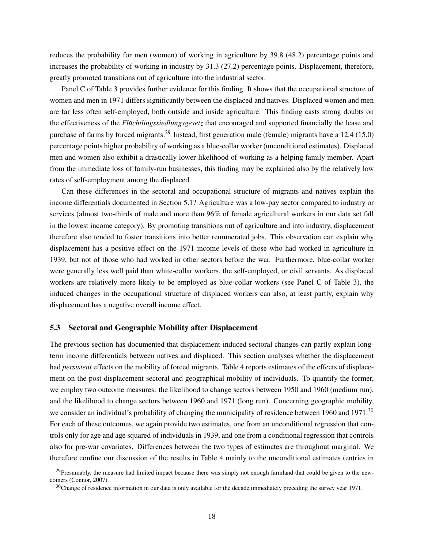reduces the probability for men (women) of working in agriculture by 39.8 (48.2) percentage points and increases the probability of working in industry by 31.3 (27.2) percentage points. Displacement, therefore, greatly promoted transitions out of agriculture into the industrial sector.

Panel C of Table 3 provides further evidence for this finding. It shows that the occupational structure of women and men in 1971 differs significantly between the displaced and natives. Displaced women and men are far less often self-employed, both outside and inside agriculture. This finding casts strong doubts on the effectiveness of the *Fluchtlingssiedlungsgesetz* that encouraged and supported financially the lease and purchase of farms by forced migrants.<sup>29</sup> Instead, first generation male (female) migrants have a 12.4 (15.0) percentage points higher probability of working as a blue-collar worker (unconditional estimates). Displaced men and women also exhibit a drastically lower likelihood of working as a helping family member. Apart from the immediate loss of family-run businesses, this finding may be explained also by the relatively low rates of self-employment among the displaced.

Can these differences in the sectoral and occupational structure of migrants and natives explain the income differentials documented in Section 5.1? Agriculture was a low-pay sector compared to industry or services (almost two-thirds of male and more than 96% of female agricultural workers in our data set fall in the lowest income category). By promoting transitions out of agriculture and into industry, displacement therefore also tended to foster transitions into better remunerated jobs. This observation can explain why displacement has a positive effect on the 1971 income levels of those who had worked in agriculture in 1939, but not of those who had worked in other sectors before the war. Furthermore, blue-collar worker were generally less well paid than white-collar workers, the self-employed, or civil servants. As displaced workers are relatively more likely to be employed as blue-collar workers (see Panel C of Table 3), the induced changes in the occupational structure of displaced workers can also, at least partly, explain why displacement has a negative overall income effect.

#### 5.3 Sectoral and Geographic Mobility after Displacement

The previous section has documented that displacement-induced sectoral changes can partly explain longterm income differentials between natives and displaced. This section analyses whether the displacement had *persistent* effects on the mobility of forced migrants. Table 4 reports estimates of the effects of displacement on the post-displacement sectoral and geographical mobility of individuals. To quantify the former, we employ two outcome measures: the likelihood to change sectors between 1950 and 1960 (medium run), and the likelihood to change sectors between 1960 and 1971 (long run). Concerning geographic mobility, we consider an individual's probability of changing the municipality of residence between 1960 and 1971.<sup>30</sup> For each of these outcomes, we again provide two estimates, one from an unconditional regression that controls only for age and age squared of individuals in 1939, and one from a conditional regression that controls also for pre-war covariates. Differences between the two types of estimates are throughout marginal. We therefore confine our discussion of the results in Table 4 mainly to the unconditional estimates (entries in

<sup>&</sup>lt;sup>29</sup>Presumably, the measure had limited impact because there was simply not enough farmland that could be given to the newcomers (Connor, 2007).

 $30$ Change of residence information in our data is only available for the decade immediately preceding the survey year 1971.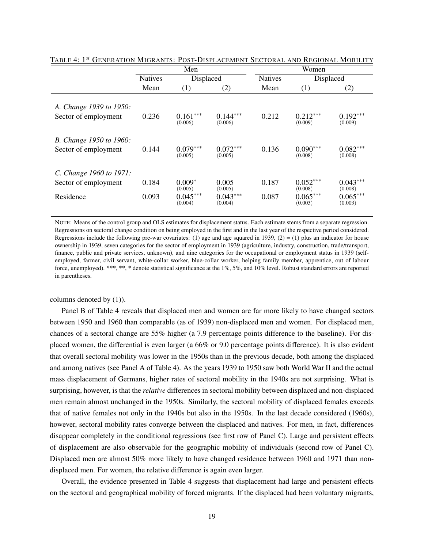|                                                              | Men            |                                              |                                           |                | Women                                          |                                                |  |  |
|--------------------------------------------------------------|----------------|----------------------------------------------|-------------------------------------------|----------------|------------------------------------------------|------------------------------------------------|--|--|
|                                                              | <b>Natives</b> | Displaced                                    |                                           | <b>Natives</b> | Displaced                                      |                                                |  |  |
|                                                              | Mean           | (1)                                          | (2)                                       | Mean           | (1)                                            | (2)                                            |  |  |
| A. Change 1939 to 1950:<br>Sector of employment              | 0.236          | $0.161***$<br>(0.006)                        | $0.144***$<br>(0.006)                     | 0.212          | $0.212***$<br>(0.009)                          | $0.192***$<br>(0.009)                          |  |  |
| B. Change 1950 to 1960:<br>Sector of employment              | 0.144          | $0.079***$<br>(0.005)                        | $0.072***$<br>(0.005)                     | 0.136          | $0.090***$<br>(0.008)                          | $0.082***$<br>(0.008)                          |  |  |
| C. Change 1960 to 1971:<br>Sector of employment<br>Residence | 0.184<br>0.093 | $0.009*$<br>(0.005)<br>$0.045***$<br>(0.004) | 0.005<br>(0.005)<br>$0.043***$<br>(0.004) | 0.187<br>0.087 | $0.052***$<br>(0.008)<br>$0.065***$<br>(0.003) | $0.043***$<br>(0.008)<br>$0.065***$<br>(0.003) |  |  |

TABLE 4: 1*st* GENERATION MIGRANTS: POST-DISPLACEMENT SECTORAL AND REGIONAL MOBILITY

NOTE: Means of the control group and OLS estimates for displacement status. Each estimate stems from a separate regression. Regressions on sectoral change condition on being employed in the first and in the last year of the respective period considered. Regressions include the following pre-war covariates: (1) age and age squared in 1939, (2) = (1) plus an indicator for house ownership in 1939, seven categories for the sector of employment in 1939 (agriculture, industry, construction, trade/transport, finance, public and private services, unknown), and nine categories for the occupational or employment status in 1939 (selfemployed, farmer, civil servant, white-collar worker, blue-collar worker, helping family member, apprentice, out of labour force, unemployed). \*\*\*, \*\*, \* denote statistical significance at the 1%, 5%, and 10% level. Robust standard errors are reported in parentheses.

columns denoted by (1)).

Panel B of Table 4 reveals that displaced men and women are far more likely to have changed sectors between 1950 and 1960 than comparable (as of 1939) non-displaced men and women. For displaced men, chances of a sectoral change are 55% higher (a 7.9 percentage points difference to the baseline). For displaced women, the differential is even larger (a 66% or 9.0 percentage points difference). It is also evident that overall sectoral mobility was lower in the 1950s than in the previous decade, both among the displaced and among natives (see Panel A of Table 4). As the years 1939 to 1950 saw both World War II and the actual mass displacement of Germans, higher rates of sectoral mobility in the 1940s are not surprising. What is surprising, however, is that the *relative* differences in sectoral mobility between displaced and non-displaced men remain almost unchanged in the 1950s. Similarly, the sectoral mobility of displaced females exceeds that of native females not only in the 1940s but also in the 1950s. In the last decade considered (1960s), however, sectoral mobility rates converge between the displaced and natives. For men, in fact, differences disappear completely in the conditional regressions (see first row of Panel C). Large and persistent effects of displacement are also observable for the geographic mobility of individuals (second row of Panel C). Displaced men are almost 50% more likely to have changed residence between 1960 and 1971 than nondisplaced men. For women, the relative difference is again even larger.

Overall, the evidence presented in Table 4 suggests that displacement had large and persistent effects on the sectoral and geographical mobility of forced migrants. If the displaced had been voluntary migrants,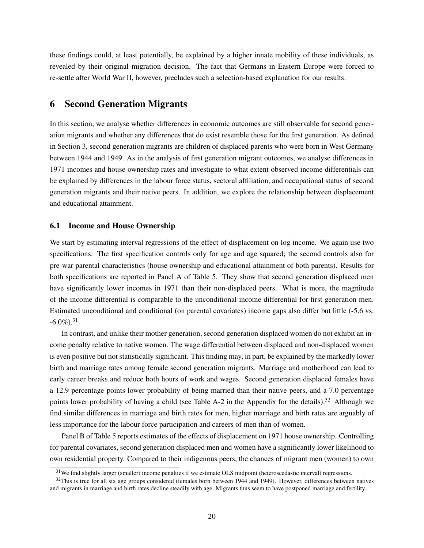these findings could, at least potentially, be explained by a higher innate mobility of these individuals, as revealed by their original migration decision. The fact that Germans in Eastern Europe were forced to re-settle after World War II, however, precludes such a selection-based explanation for our results.

## 6 Second Generation Migrants

In this section, we analyse whether differences in economic outcomes are still observable for second generation migrants and whether any differences that do exist resemble those for the first generation. As defined in Section 3, second generation migrants are children of displaced parents who were born in West Germany between 1944 and 1949. As in the analysis of first generation migrant outcomes, we analyse differences in 1971 incomes and house ownership rates and investigate to what extent observed income differentials can be explained by differences in the labour force status, sectoral affiliation, and occupational status of second generation migrants and their native peers. In addition, we explore the relationship between displacement and educational attainment.

#### 6.1 Income and House Ownership

We start by estimating interval regressions of the effect of displacement on log income. We again use two specifications. The first specification controls only for age and age squared; the second controls also for pre-war parental characteristics (house ownership and educational attainment of both parents). Results for both specifications are reported in Panel A of Table 5. They show that second generation displaced men have significantly lower incomes in 1971 than their non-displaced peers. What is more, the magnitude of the income differential is comparable to the unconditional income differential for first generation men. Estimated unconditional and conditional (on parental covariates) income gaps also differ but little (-5.6 vs.  $-6.0\%$ ).<sup>31</sup>

In contrast, and unlike their mother generation, second generation displaced women do not exhibit an income penalty relative to native women. The wage differential between displaced and non-displaced women is even positive but not statistically significant. This finding may, in part, be explained by the markedly lower birth and marriage rates among female second generation migrants. Marriage and motherhood can lead to early career breaks and reduce both hours of work and wages. Second generation displaced females have a 12.9 percentage points lower probability of being married than their native peers, and a 7.0 percentage points lower probability of having a child (see Table A-2 in the Appendix for the details).<sup>32</sup> Although we find similar differences in marriage and birth rates for men, higher marriage and birth rates are arguably of less importance for the labour force participation and careers of men than of women.

Panel B of Table 5 reports estimates of the effects of displacement on 1971 house ownership. Controlling for parental covariates, second generation displaced men and women have a significantly lower likelihood to own residential property. Compared to their indigenous peers, the chances of migrant men (women) to own

<sup>&</sup>lt;sup>31</sup>We find slightly larger (smaller) income penalties if we estimate OLS midpoint (heteroscedastic interval) regressions.

 $32$ This is true for all six age groups considered (females born between 1944 and 1949). However, differences between natives and migrants in marriage and birth rates decline steadily with age. Migrants thus seem to have postponed marriage and fertility.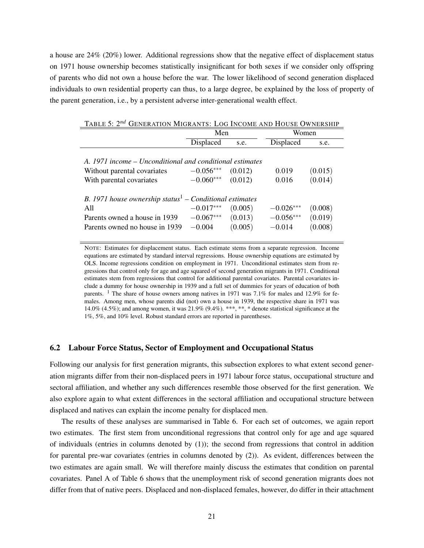a house are 24% (20%) lower. Additional regressions show that the negative effect of displacement status on 1971 house ownership becomes statistically insignificant for both sexes if we consider only offspring of parents who did not own a house before the war. The lower likelihood of second generation displaced individuals to own residential property can thus, to a large degree, be explained by the loss of property of the parent generation, i.e., by a persistent adverse inter-generational wealth effect.

| opheminon miominio. Doo incomp mp nocop o whenomi          |             |         |             |         |
|------------------------------------------------------------|-------------|---------|-------------|---------|
|                                                            | Men         |         | Women       |         |
|                                                            | Displaced   | s.e.    | Displaced   | s.e.    |
|                                                            |             |         |             |         |
| A. 1971 income – Unconditional and conditional estimates   |             |         |             |         |
| Without parental covariates                                | $-0.056***$ | (0.012) | 0.019       | (0.015) |
| With parental covariates                                   | $-0.060***$ | (0.012) | 0.016       | (0.014) |
|                                                            |             |         |             |         |
| B. 1971 house ownership status $1 -$ Conditional estimates |             |         |             |         |
| All                                                        | $-0.017***$ | (0.005) | $-0.026***$ | (0.008) |
| Parents owned a house in 1939                              | $-0.067***$ | (0.013) | $-0.056***$ | (0.019) |
| Parents owned no house in 1939                             | $-0.004$    | (0.005) | $-0.014$    | (0.008) |
|                                                            |             |         |             |         |

TABLE 5: 2*nd* GENERATION MIGRANTS: LOG INCOME AND HOUSE OWNERSHIP

NOTE: Estimates for displacement status. Each estimate stems from a separate regression. Income equations are estimated by standard interval regressions. House ownership equations are estimated by OLS. Income regressions condition on employment in 1971. Unconditional estimates stem from regressions that control only for age and age squared of second generation migrants in 1971. Conditional estimates stem from regressions that control for additional parental covariates. Parental covariates include a dummy for house ownership in 1939 and a full set of dummies for years of education of both parents. <sup>1</sup> The share of house owners among natives in 1971 was 7.1% for males and 12.9% for females. Among men, whose parents did (not) own a house in 1939, the respective share in 1971 was 14.0% (4.5%); and among women, it was  $21.9\%$  (9.4%). \*\*\*, \*\*, \* denote statistical significance at the 1%, 5%, and 10% level. Robust standard errors are reported in parentheses.

#### 6.2 Labour Force Status, Sector of Employment and Occupational Status

Following our analysis for first generation migrants, this subsection explores to what extent second generation migrants differ from their non-displaced peers in 1971 labour force status, occupational structure and sectoral affiliation, and whether any such differences resemble those observed for the first generation. We also explore again to what extent differences in the sectoral affiliation and occupational structure between displaced and natives can explain the income penalty for displaced men.

The results of these analyses are summarised in Table 6. For each set of outcomes, we again report two estimates. The first stem from unconditional regressions that control only for age and age squared of individuals (entries in columns denoted by (1)); the second from regressions that control in addition for parental pre-war covariates (entries in columns denoted by (2)). As evident, differences between the two estimates are again small. We will therefore mainly discuss the estimates that condition on parental covariates. Panel A of Table 6 shows that the unemployment risk of second generation migrants does not differ from that of native peers. Displaced and non-displaced females, however, do differ in their attachment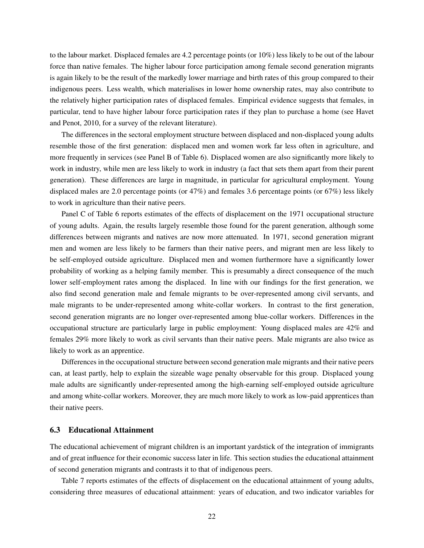to the labour market. Displaced females are 4.2 percentage points (or 10%) less likely to be out of the labour force than native females. The higher labour force participation among female second generation migrants is again likely to be the result of the markedly lower marriage and birth rates of this group compared to their indigenous peers. Less wealth, which materialises in lower home ownership rates, may also contribute to the relatively higher participation rates of displaced females. Empirical evidence suggests that females, in particular, tend to have higher labour force participation rates if they plan to purchase a home (see Havet and Penot, 2010, for a survey of the relevant literature).

The differences in the sectoral employment structure between displaced and non-displaced young adults resemble those of the first generation: displaced men and women work far less often in agriculture, and more frequently in services (see Panel B of Table 6). Displaced women are also significantly more likely to work in industry, while men are less likely to work in industry (a fact that sets them apart from their parent generation). These differences are large in magnitude, in particular for agricultural employment. Young displaced males are 2.0 percentage points (or 47%) and females 3.6 percentage points (or 67%) less likely to work in agriculture than their native peers.

Panel C of Table 6 reports estimates of the effects of displacement on the 1971 occupational structure of young adults. Again, the results largely resemble those found for the parent generation, although some differences between migrants and natives are now more attenuated. In 1971, second generation migrant men and women are less likely to be farmers than their native peers, and migrant men are less likely to be self-employed outside agriculture. Displaced men and women furthermore have a significantly lower probability of working as a helping family member. This is presumably a direct consequence of the much lower self-employment rates among the displaced. In line with our findings for the first generation, we also find second generation male and female migrants to be over-represented among civil servants, and male migrants to be under-represented among white-collar workers. In contrast to the first generation, second generation migrants are no longer over-represented among blue-collar workers. Differences in the occupational structure are particularly large in public employment: Young displaced males are 42% and females 29% more likely to work as civil servants than their native peers. Male migrants are also twice as likely to work as an apprentice.

Differences in the occupational structure between second generation male migrants and their native peers can, at least partly, help to explain the sizeable wage penalty observable for this group. Displaced young male adults are significantly under-represented among the high-earning self-employed outside agriculture and among white-collar workers. Moreover, they are much more likely to work as low-paid apprentices than their native peers.

#### 6.3 Educational Attainment

The educational achievement of migrant children is an important yardstick of the integration of immigrants and of great influence for their economic success later in life. This section studies the educational attainment of second generation migrants and contrasts it to that of indigenous peers.

Table 7 reports estimates of the effects of displacement on the educational attainment of young adults, considering three measures of educational attainment: years of education, and two indicator variables for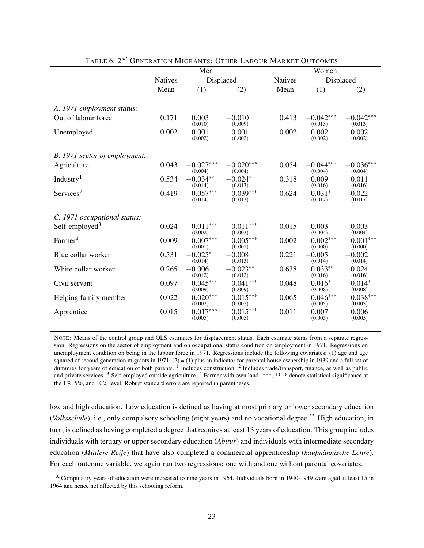|                               |                | Men                    |                        |                | Women                  |                        |
|-------------------------------|----------------|------------------------|------------------------|----------------|------------------------|------------------------|
|                               | <b>Natives</b> |                        | Displaced              | <b>Natives</b> |                        | Displaced              |
|                               | Mean           | (1)                    | (2)                    | Mean           | (1)                    | (2)                    |
|                               |                |                        |                        |                |                        |                        |
| A. 1971 employment status:    |                |                        |                        |                |                        |                        |
| Out of labour force           | 0.171          | 0.003<br>(0.010)       | $-0.010$<br>(0.009)    | 0.413          | $-0.042***$<br>(0.013) | $-0.042***$<br>(0.013) |
| Unemployed                    | 0.002          | 0.001<br>(0.002)       | 0.001<br>(0.002)       | 0.002          | 0.002<br>(0.002)       | 0.002<br>(0.002)       |
| B. 1971 sector of employment: |                |                        |                        |                |                        |                        |
| Agriculture                   | 0.043          | $-0.027***$<br>(0.004) | $-0.020***$<br>(0.004) | 0.054          | $-0.044***$<br>(0.004) | $-0.036***$<br>(0.004) |
| Industry <sup>1</sup>         | 0.534          | $-0.034**$<br>(0.014)  | $-0.024*$<br>(0.013)   | 0.318          | 0.009<br>(0.016)       | 0.011<br>(0.016)       |
| Services <sup>2</sup>         | 0.419          | $0.057***$<br>(0.014)  | $0.039***$<br>(0.013)  | 0.624          | $0.031*$<br>(0.017)    | 0.022<br>(0.017)       |
| C. 1971 occupational status:  |                |                        |                        |                |                        |                        |
| Self-employed <sup>3</sup>    | 0.024          | $-0.011***$<br>(0.002) | $-0.011***$<br>(0.003) | 0.015          | $-0.003$<br>(0.004)    | $-0.003$<br>(0.004)    |
| Farmer <sup>4</sup>           | 0.009          | $-0.007***$<br>(0.001) | $-0.005***$<br>(0.001) | 0.002          | $-0.002***$<br>(0.000) | $-0.001***$<br>(0.000) |
| Blue collar worker            | 0.531          | $-0.025*$<br>(0.014)   | $-0.008$<br>(0.013)    | 0.221          | $-0.005$<br>(0.014)    | $-0.002$<br>(0.014)    |
| White collar worker           | 0.265          | $-0.006$<br>(0.012)    | $-0.023**$<br>(0.012)  | 0.638          | $0.033**$<br>(0.016)   | 0.024<br>(0.016)       |
| Civil servant                 | 0.097          | $0.045***$<br>(0.009)  | $0.041***$<br>(0.009)  | 0.048          | $0.016*$<br>(0.008)    | $0.014*$<br>(0.008)    |
| Helping family member         | 0.022          | $-0.020***$<br>(0.002) | $0.015***$<br>(0.002)  | 0.065          | $-0.046***$<br>(0.005) | $-0.038***$<br>(0.005) |
| Apprentice                    | 0.015          | $0.017***$<br>(0.005)  | $0.015***$<br>(0.005)  | 0.011          | 0.007<br>(0.005)       | 0.006<br>(0.005)       |

TABLE 6: 2*nd* GENERATION MIGRANTS: OTHER LABOUR MARKET OUTCOMES

NOTE: Means of the control group and OLS estimates for displacement status. Each estimate stems from a separate regression. Regressions on the sector of employment and on occupational status condition on employment in 1971. Regressions on unemployment condition on being in the labour force in 1971. Regressions include the following covariates: (1) age and age squared of second generation migrants in 1971,  $(2) = (1)$  plus an indicator for parental house ownership in 1939 and a full set of dummies for years of education of both parents. <sup>1</sup> Includes construction. <sup>2</sup> Includes trade/transport, finance, as well as public and private services.<sup>3</sup> Self-employed outside agriculture. <sup>4</sup> Farmer with own land. \*\*\*, \*\*, \* denote statistical significance at the 1%, 5%, and 10% level. Robust standard errors are reported in parentheses.

low and high education. Low education is defined as having at most primary or lower secondary education (*Volksschule*), i.e., only compulsory schooling (eight years) and no vocational degree.<sup>33</sup> High education, in turn, is defined as having completed a degree that requires at least 13 years of education. This group includes individuals with tertiary or upper secondary education (*Abitur*) and individuals with intermediate secondary education (*Mittlere Reife*) that have also completed a commercial apprenticeship (*kaufmännische Lehre*). For each outcome variable, we again run two regressions: one with and one without parental covariates.

<sup>33</sup>Compulsory years of education were increased to nine years in 1964. Individuals born in 1940-1949 were aged at least 15 in 1964 and hence not affected by this schooling reform.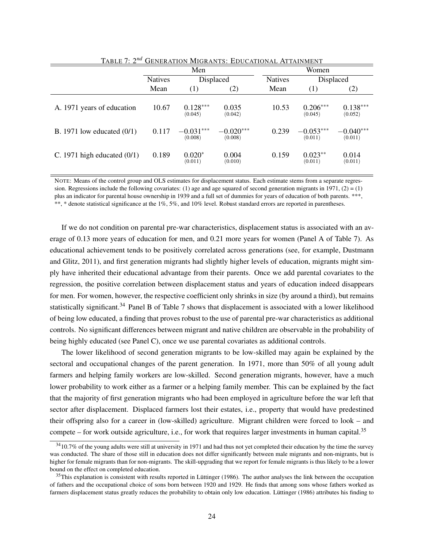|                               | Men            |                        |                        |                | Women                  |                        |  |  |
|-------------------------------|----------------|------------------------|------------------------|----------------|------------------------|------------------------|--|--|
|                               | <b>Natives</b> | Displaced              |                        | <b>Natives</b> |                        | Displaced              |  |  |
|                               | Mean           | (1)                    | (2)                    | Mean           | (1)                    | (2)                    |  |  |
| A. 1971 years of education    | 10.67          | $0.128***$<br>(0.045)  | 0.035<br>(0.042)       | 10.53          | $0.206***$<br>(0.045)  | $0.138***$<br>(0.052)  |  |  |
| B. 1971 low educated $(0/1)$  | 0.117          | $-0.031***$<br>(0.008) | $-0.020***$<br>(0.008) | 0.239          | $-0.053***$<br>(0.011) | $-0.040***$<br>(0.011) |  |  |
| C. 1971 high educated $(0/1)$ | 0.189          | $0.020*$<br>(0.011)    | 0.004<br>(0.010)       | 0.159          | $0.023**$<br>(0.011)   | 0.014<br>(0.011)       |  |  |

TABLE 7: 2*nd* GENERATION MIGRANTS: EDUCATIONAL ATTAINMENT

NOTE: Means of the control group and OLS estimates for displacement status. Each estimate stems from a separate regression. Regressions include the following covariates: (1) age and age squared of second generation migrants in 1971, (2) = (1) plus an indicator for parental house ownership in 1939 and a full set of dummies for years of education of both parents. \*\*\*, \*\*, \* denote statistical significance at the 1%, 5%, and 10% level. Robust standard errors are reported in parentheses.

If we do not condition on parental pre-war characteristics, displacement status is associated with an average of 0.13 more years of education for men, and 0.21 more years for women (Panel A of Table 7). As educational achievement tends to be positively correlated across generations (see, for example, Dustmann and Glitz, 2011), and first generation migrants had slightly higher levels of education, migrants might simply have inherited their educational advantage from their parents. Once we add parental covariates to the regression, the positive correlation between displacement status and years of education indeed disappears for men. For women, however, the respective coefficient only shrinks in size (by around a third), but remains statistically significant.<sup>34</sup> Panel B of Table 7 shows that displacement is associated with a lower likelihood of being low educated, a finding that proves robust to the use of parental pre-war characteristics as additional controls. No significant differences between migrant and native children are observable in the probability of being highly educated (see Panel C), once we use parental covariates as additional controls.

The lower likelihood of second generation migrants to be low-skilled may again be explained by the sectoral and occupational changes of the parent generation. In 1971, more than 50% of all young adult farmers and helping family workers are low-skilled. Second generation migrants, however, have a much lower probability to work either as a farmer or a helping family member. This can be explained by the fact that the majority of first generation migrants who had been employed in agriculture before the war left that sector after displacement. Displaced farmers lost their estates, i.e., property that would have predestined their offspring also for a career in (low-skilled) agriculture. Migrant children were forced to look – and compete – for work outside agriculture, i.e., for work that requires larger investments in human capital.<sup>35</sup>

<sup>34</sup>10.7% of the young adults were still at university in 1971 and had thus not yet completed their education by the time the survey was conducted. The share of those still in education does not differ significantly between male migrants and non-migrants, but is higher for female migrants than for non-migrants. The skill-upgrading that we report for female migrants is thus likely to be a lower bound on the effect on completed education.

 $35$ This explanation is consistent with results reported in Lüttinger (1986). The author analyses the link between the occupation of fathers and the occupational choice of sons born between 1920 and 1929. He finds that among sons whose fathers worked as farmers displacement status greatly reduces the probability to obtain only low education. Lüttinger (1986) attributes his finding to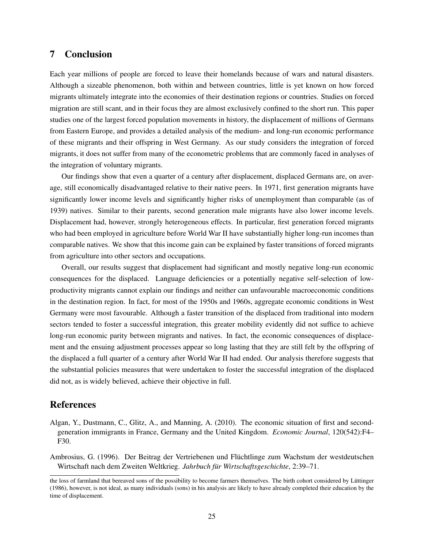## 7 Conclusion

Each year millions of people are forced to leave their homelands because of wars and natural disasters. Although a sizeable phenomenon, both within and between countries, little is yet known on how forced migrants ultimately integrate into the economies of their destination regions or countries. Studies on forced migration are still scant, and in their focus they are almost exclusively confined to the short run. This paper studies one of the largest forced population movements in history, the displacement of millions of Germans from Eastern Europe, and provides a detailed analysis of the medium- and long-run economic performance of these migrants and their offspring in West Germany. As our study considers the integration of forced migrants, it does not suffer from many of the econometric problems that are commonly faced in analyses of the integration of voluntary migrants.

Our findings show that even a quarter of a century after displacement, displaced Germans are, on average, still economically disadvantaged relative to their native peers. In 1971, first generation migrants have significantly lower income levels and significantly higher risks of unemployment than comparable (as of 1939) natives. Similar to their parents, second generation male migrants have also lower income levels. Displacement had, however, strongly heterogeneous effects. In particular, first generation forced migrants who had been employed in agriculture before World War II have substantially higher long-run incomes than comparable natives. We show that this income gain can be explained by faster transitions of forced migrants from agriculture into other sectors and occupations.

Overall, our results suggest that displacement had significant and mostly negative long-run economic consequences for the displaced. Language deficiencies or a potentially negative self-selection of lowproductivity migrants cannot explain our findings and neither can unfavourable macroeconomic conditions in the destination region. In fact, for most of the 1950s and 1960s, aggregate economic conditions in West Germany were most favourable. Although a faster transition of the displaced from traditional into modern sectors tended to foster a successful integration, this greater mobility evidently did not suffice to achieve long-run economic parity between migrants and natives. In fact, the economic consequences of displacement and the ensuing adjustment processes appear so long lasting that they are still felt by the offspring of the displaced a full quarter of a century after World War II had ended. Our analysis therefore suggests that the substantial policies measures that were undertaken to foster the successful integration of the displaced did not, as is widely believed, achieve their objective in full.

### References

- Algan, Y., Dustmann, C., Glitz, A., and Manning, A. (2010). The economic situation of first and secondgeneration immigrants in France, Germany and the United Kingdom. *Economic Journal*, 120(542):F4– F30.
- Ambrosius, G. (1996). Der Beitrag der Vertriebenen und Fluchtlinge zum Wachstum der westdeutschen ¨ Wirtschaft nach dem Zweiten Weltkrieg. *Jahrbuch für Wirtschaftsgeschichte*, 2:39–71.

the loss of farmland that bereaved sons of the possibility to become farmers themselves. The birth cohort considered by Lüttinger (1986), however, is not ideal, as many individuals (sons) in his analysis are likely to have already completed their education by the time of displacement.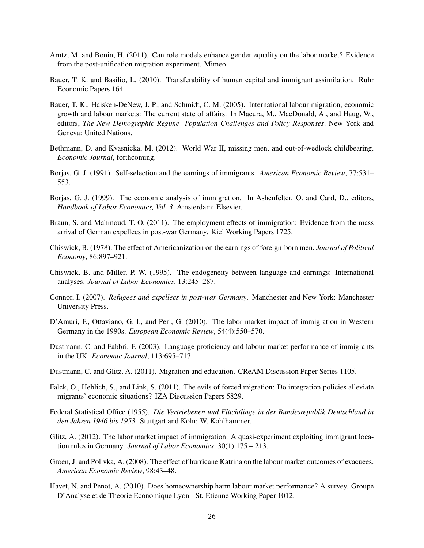- Arntz, M. and Bonin, H. (2011). Can role models enhance gender equality on the labor market? Evidence from the post-unification migration experiment. Mimeo.
- Bauer, T. K. and Basilio, L. (2010). Transferability of human capital and immigrant assimilation. Ruhr Economic Papers 164.
- Bauer, T. K., Haisken-DeNew, J. P., and Schmidt, C. M. (2005). International labour migration, economic growth and labour markets: The current state of affairs. In Macura, M., MacDonald, A., and Haug, W., editors, *The New Demographic Regime Population Challenges and Policy Responses*. New York and Geneva: United Nations.
- Bethmann, D. and Kvasnicka, M. (2012). World War II, missing men, and out-of-wedlock childbearing. *Economic Journal*, forthcoming.
- Borjas, G. J. (1991). Self-selection and the earnings of immigrants. *American Economic Review*, 77:531– 553.
- Borjas, G. J. (1999). The economic analysis of immigration. In Ashenfelter, O. and Card, D., editors, *Handbook of Labor Economics, Vol. 3*. Amsterdam: Elsevier.
- Braun, S. and Mahmoud, T. O. (2011). The employment effects of immigration: Evidence from the mass arrival of German expellees in post-war Germany. Kiel Working Papers 1725.
- Chiswick, B. (1978). The effect of Americanization on the earnings of foreign-born men. *Journal of Political Economy*, 86:897–921.
- Chiswick, B. and Miller, P. W. (1995). The endogeneity between language and earnings: International analyses. *Journal of Labor Economics*, 13:245–287.
- Connor, I. (2007). *Refugees and expellees in post-war Germany*. Manchester and New York: Manchester University Press.
- D'Amuri, F., Ottaviano, G. I., and Peri, G. (2010). The labor market impact of immigration in Western Germany in the 1990s. *European Economic Review*, 54(4):550–570.
- Dustmann, C. and Fabbri, F. (2003). Language proficiency and labour market performance of immigrants in the UK. *Economic Journal*, 113:695–717.
- Dustmann, C. and Glitz, A. (2011). Migration and education. CReAM Discussion Paper Series 1105.
- Falck, O., Heblich, S., and Link, S. (2011). The evils of forced migration: Do integration policies alleviate migrants' economic situations? IZA Discussion Papers 5829.
- Federal Statistical Office (1955). *Die Vertriebenen und Fluchtlinge in der Bundesrepublik Deutschland in ¨ den Jahren 1946 bis 1953*. Stuttgart and Köln: W. Kohlhammer.
- Glitz, A. (2012). The labor market impact of immigration: A quasi-experiment exploiting immigrant location rules in Germany. *Journal of Labor Economics*, 30(1):175 – 213.
- Groen, J. and Polivka, A. (2008). The effect of hurricane Katrina on the labour market outcomes of evacuees. *American Economic Review*, 98:43–48.
- Havet, N. and Penot, A. (2010). Does homeownership harm labour market performance? A survey. Groupe D'Analyse et de Theorie Economique Lyon - St. Etienne Working Paper 1012.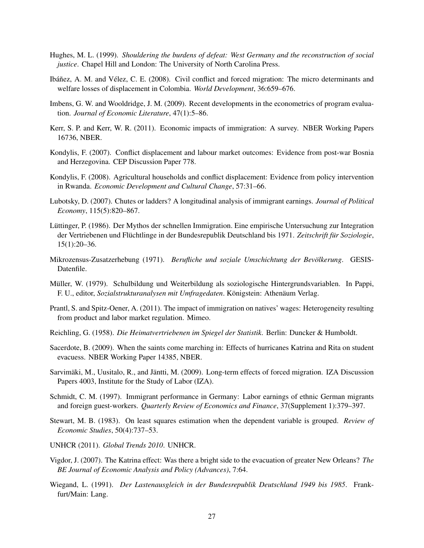- Hughes, M. L. (1999). *Shouldering the burdens of defeat: West Germany and the reconstruction of social justice*. Chapel Hill and London: The University of North Carolina Press.
- Ibáñez, A. M. and Vélez, C. E. (2008). Civil conflict and forced migration: The micro determinants and welfare losses of displacement in Colombia. *World Development*, 36:659–676.
- Imbens, G. W. and Wooldridge, J. M. (2009). Recent developments in the econometrics of program evaluation. *Journal of Economic Literature*, 47(1):5–86.
- Kerr, S. P. and Kerr, W. R. (2011). Economic impacts of immigration: A survey. NBER Working Papers 16736, NBER.
- Kondylis, F. (2007). Conflict displacement and labour market outcomes: Evidence from post-war Bosnia and Herzegovina. CEP Discussion Paper 778.
- Kondylis, F. (2008). Agricultural households and conflict displacement: Evidence from policy intervention in Rwanda. *Economic Development and Cultural Change*, 57:31–66.
- Lubotsky, D. (2007). Chutes or ladders? A longitudinal analysis of immigrant earnings. *Journal of Political Economy*, 115(5):820–867.
- Luttinger, P. (1986). Der Mythos der schnellen Immigration. Eine empirische Untersuchung zur Integration ¨ der Vertriebenen und Flüchtlinge in der Bundesrepublik Deutschland bis 1971. Zeitschrift für Soziologie, 15(1):20–36.
- Mikrozensus-Zusatzerhebung (1971). *Berufliche und soziale Umschichtung der Bevölkerung*. GESIS-Datenfile.
- Müller, W. (1979). Schulbildung und Weiterbildung als soziologische Hintergrundsvariablen. In Pappi, F. U., editor, *Sozialstrukturanalysen mit Umfragedaten*. Königstein: Athenäum Verlag.
- Prantl, S. and Spitz-Oener, A. (2011). The impact of immigration on natives' wages: Heterogeneity resulting from product and labor market regulation. Mimeo.
- Reichling, G. (1958). *Die Heimatvertriebenen im Spiegel der Statistik*. Berlin: Duncker & Humboldt.
- Sacerdote, B. (2009). When the saints come marching in: Effects of hurricanes Katrina and Rita on student evacuess. NBER Working Paper 14385, NBER.
- Sarvimäki, M., Uusitalo, R., and Jäntti, M. (2009). Long-term effects of forced migration. IZA Discussion Papers 4003, Institute for the Study of Labor (IZA).
- Schmidt, C. M. (1997). Immigrant performance in Germany: Labor earnings of ethnic German migrants and foreign guest-workers. *Quarterly Review of Economics and Finance*, 37(Supplement 1):379–397.
- Stewart, M. B. (1983). On least squares estimation when the dependent variable is grouped. *Review of Economic Studies*, 50(4):737–53.
- UNHCR (2011). *Global Trends 2010*. UNHCR.
- Vigdor, J. (2007). The Katrina effect: Was there a bright side to the evacuation of greater New Orleans? *The BE Journal of Economic Analysis and Policy (Advances)*, 7:64.
- Wiegand, L. (1991). *Der Lastenausgleich in der Bundesrepublik Deutschland 1949 bis 1985*. Frankfurt/Main: Lang.